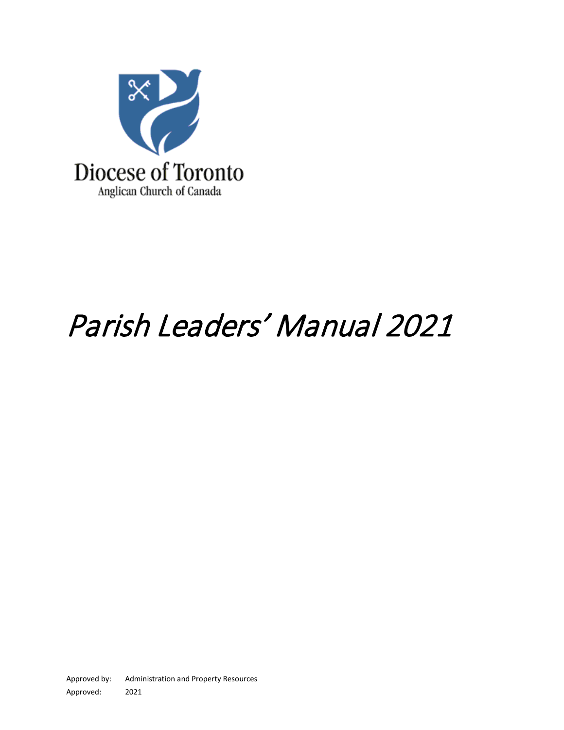

# Parish Leaders' Manual 2021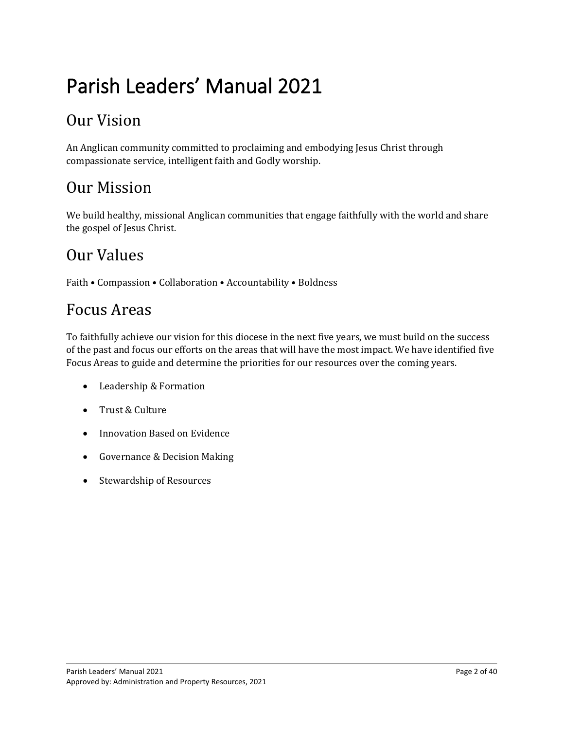# Parish Leaders' Manual 2021

# Our Vision

An Anglican community committed to proclaiming and embodying Jesus Christ through compassionate service, intelligent faith and Godly worship.

### Our Mission

We build healthy, missional Anglican communities that engage faithfully with the world and share the gospel of Jesus Christ.

# Our Values

Faith • Compassion • Collaboration • Accountability • Boldness

### Focus Areas

To faithfully achieve our vision for this diocese in the next five years, we must build on the success of the past and focus our efforts on the areas that will have the most impact. We have identified five Focus Areas to guide and determine the priorities for our resources over the coming years.

- Leadership & Formation
- Trust & Culture
- Innovation Based on Evidence
- Governance & Decision Making
- Stewardship of Resources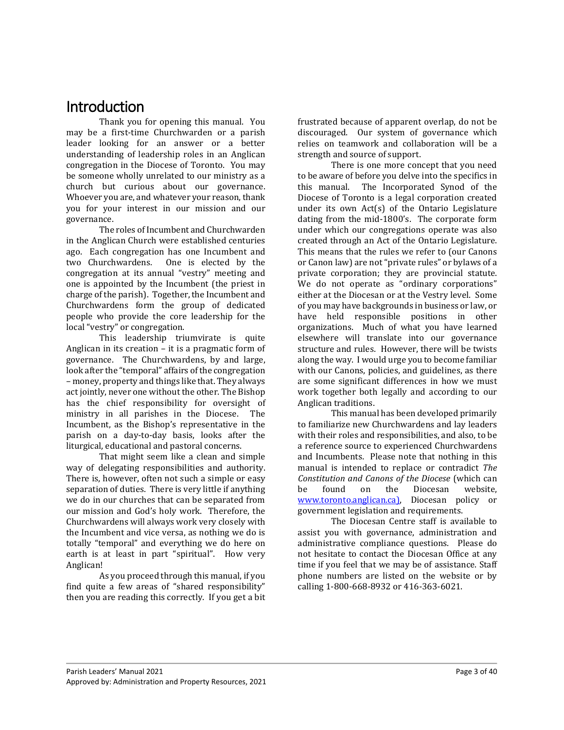### <span id="page-2-0"></span>Introduction

Thank you for opening this manual. You may be a first-time Churchwarden or a parish leader looking for an answer or a better understanding of leadership roles in an Anglican congregation in the Diocese of Toronto. You may be someone wholly unrelated to our ministry as a church but curious about our governance. Whoever you are, and whatever your reason, thank you for your interest in our mission and our governance.

The roles of Incumbent and Churchwarden in the Anglican Church were established centuries ago. Each congregation has one Incumbent and two Churchwardens. One is elected by the congregation at its annual "vestry" meeting and one is appointed by the Incumbent (the priest in charge of the parish). Together, the Incumbent and Churchwardens form the group of dedicated people who provide the core leadership for the local "vestry" or congregation.

This leadership triumvirate is quite Anglican in its creation – it is a pragmatic form of governance. The Churchwardens, by and large, look after the "temporal" affairs of the congregation – money, property and things like that. They always act jointly, never one without the other. The Bishop has the chief responsibility for oversight of ministry in all parishes in the Diocese. The Incumbent, as the Bishop's representative in the parish on a day-to-day basis, looks after the liturgical, educational and pastoral concerns.

That might seem like a clean and simple way of delegating responsibilities and authority. There is, however, often not such a simple or easy separation of duties. There is very little if anything we do in our churches that can be separated from our mission and God's holy work. Therefore, the Churchwardens will always work very closely with the Incumbent and vice versa, as nothing we do is totally "temporal" and everything we do here on earth is at least in part "spiritual". How very Anglican!

As you proceed through this manual, if you find quite a few areas of "shared responsibility" then you are reading this correctly. If you get a bit

frustrated because of apparent overlap, do not be discouraged. Our system of governance which relies on teamwork and collaboration will be a strength and source of support.

There is one more concept that you need to be aware of before you delve into the specifics in<br>this manual. The Incorporated Synod of the The Incorporated Synod of the Diocese of Toronto is a legal corporation created under its own Act(s) of the Ontario Legislature dating from the mid-1800's. The corporate form under which our congregations operate was also created through an Act of the Ontario Legislature. This means that the rules we refer to (our Canons or Canon law) are not "private rules" or bylaws of a private corporation; they are provincial statute. We do not operate as "ordinary corporations" either at the Diocesan or at the Vestry level. Some of you may have backgrounds in business or law, or have held responsible positions in other organizations. Much of what you have learned elsewhere will translate into our governance structure and rules. However, there will be twists along the way. I would urge you to become familiar with our Canons, policies, and guidelines, as there are some significant differences in how we must work together both legally and according to our Anglican traditions.

This manual has been developed primarily to familiarize new Churchwardens and lay leaders with their roles and responsibilities, and also, to be a reference source to experienced Churchwardens and Incumbents. Please note that nothing in this manual is intended to replace or contradict *The Constitution and Canons of the Diocese* (which can be found on the Diocesan website, www.toronto.anglican.ca), Diocesan policy or government legislation and requirements.

The Diocesan Centre staff is available to assist you with governance, administration and administrative compliance questions. Please do not hesitate to contact the Diocesan Office at any time if you feel that we may be of assistance. Staff phone numbers are listed on the website or by calling 1-800-668-8932 or 416-363-6021.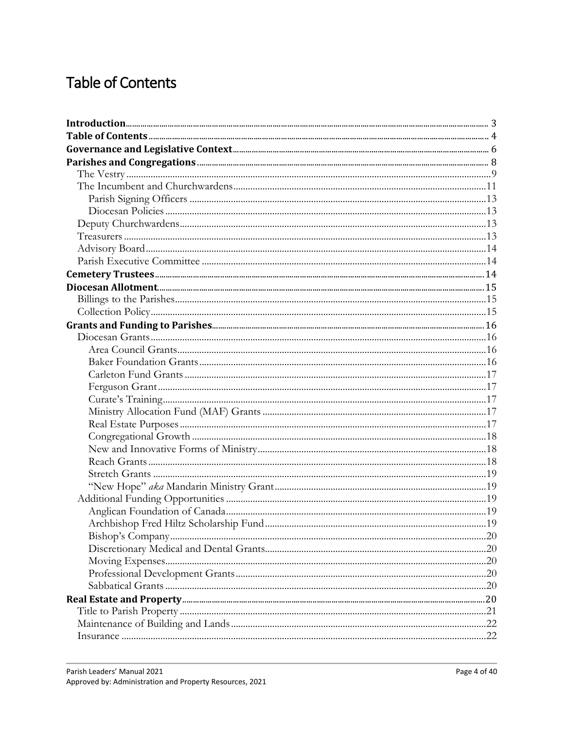## <span id="page-3-0"></span>**Table of Contents**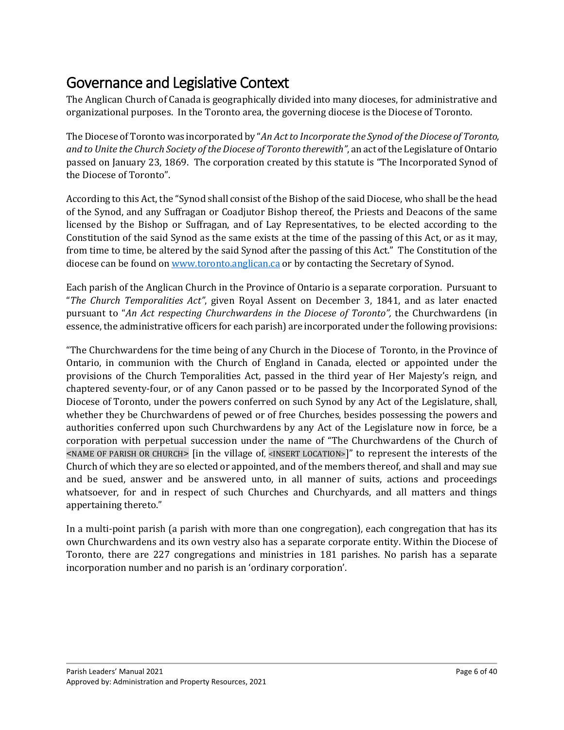### <span id="page-5-0"></span>Governance and Legislative Context

The Anglican Church of Canada is geographically divided into many dioceses, for administrative and organizational purposes. In the Toronto area, the governing diocese is the Diocese of Toronto.

The Diocese of Toronto was incorporated by "*An Act to Incorporate the Synod of the Diocese of Toronto, and to Unite the Church Society of the Diocese of Toronto therewith"*, an act of the Legislature of Ontario passed on January 23, 1869. The corporation created by this statute is "The Incorporated Synod of the Diocese of Toronto".

According to this Act, the "Synod shall consist of the Bishop of the said Diocese, who shall be the head of the Synod, and any Suffragan or Coadjutor Bishop thereof, the Priests and Deacons of the same licensed by the Bishop or Suffragan, and of Lay Representatives, to be elected according to the Constitution of the said Synod as the same exists at the time of the passing of this Act, or as it may, from time to time, be altered by the said Synod after the passing of this Act." The Constitution of the diocese can be found o[n www.toronto.anglican.ca](http://www.toronto.anglican.ca/) or by contacting the Secretary of Synod.

Each parish of the Anglican Church in the Province of Ontario is a separate corporation. Pursuant to "*The Church Temporalities Act"*, given Royal Assent on December 3, 1841, and as later enacted pursuant to "*An Act respecting Churchwardens in the Diocese of Toronto",* the Churchwardens (in essence, the administrative officers for each parish) are incorporated under the following provisions:

"The Churchwardens for the time being of any Church in the Diocese of Toronto, in the Province of Ontario, in communion with the Church of England in Canada, elected or appointed under the provisions of the Church Temporalities Act, passed in the third year of Her Majesty's reign, and chaptered seventy-four, or of any Canon passed or to be passed by the Incorporated Synod of the Diocese of Toronto, under the powers conferred on such Synod by any Act of the Legislature, shall, whether they be Churchwardens of pewed or of free Churches, besides possessing the powers and authorities conferred upon such Churchwardens by any Act of the Legislature now in force, be a corporation with perpetual succession under the name of "The Churchwardens of the Church of <NAME OF PARISH OR CHURCH> [in the village of, <INSERT LOCATION>]" to represent the interests of the Church of which they are so elected or appointed, and of the members thereof, and shall and may sue and be sued, answer and be answered unto, in all manner of suits, actions and proceedings whatsoever, for and in respect of such Churches and Churchyards, and all matters and things appertaining thereto."

In a multi-point parish (a parish with more than one congregation), each congregation that has its own Churchwardens and its own vestry also has a separate corporate entity. Within the Diocese of Toronto, there are 227 congregations and ministries in 181 parishes. No parish has a separate incorporation number and no parish is an 'ordinary corporation'.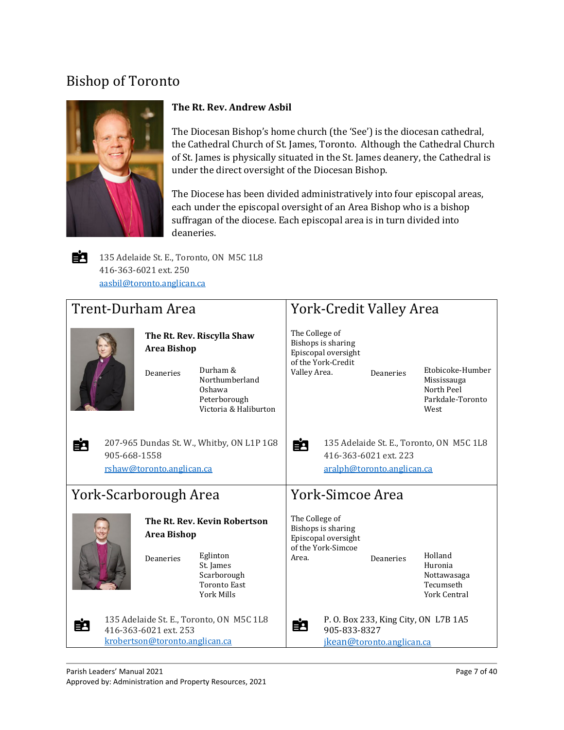### Bishop of Toronto



#### **The Rt. Rev. Andrew Asbil**

The Diocesan Bishop's home church (the 'See') is the diocesan cathedral, the Cathedral Church of St. James, Toronto. Although the Cathedral Church of St. James is physically situated in the St. James deanery, the Cathedral is under the direct oversight of the Diocesan Bishop.

The Diocese has been divided administratively into four episcopal areas, each under the episcopal oversight of an Area Bishop who is a bishop suffragan of the diocese. Each episcopal area is in turn divided into deaneries.

的. 135 Adelaide St. E., Toronto, ON M5C 1L8 416-363-6021 ext. 250 [aasbil@toronto.anglican.ca](mailto:aasbil@toronto.anglican.ca)

| Trent-Durham Area                                                                                         |                                 |                                                                                                                  | <b>York-Credit Valley Area</b> |                                                                                   |                                                     |                                                                           |
|-----------------------------------------------------------------------------------------------------------|---------------------------------|------------------------------------------------------------------------------------------------------------------|--------------------------------|-----------------------------------------------------------------------------------|-----------------------------------------------------|---------------------------------------------------------------------------|
|                                                                                                           | <b>Area Bishop</b><br>Deaneries | The Rt. Rev. Riscylla Shaw<br>Durham &<br>Northumberland<br>Oshawa<br>Peterborough<br>Victoria & Haliburton      | Valley Area.                   | The College of<br>Bishops is sharing<br>Episcopal oversight<br>of the York-Credit | Deaneries                                           | Etobicoke-Humber<br>Mississauga<br>North Peel<br>Parkdale-Toronto<br>West |
| 韵<br>905-668-1558                                                                                         | rshaw@toronto.anglican.ca       | 207-965 Dundas St. W., Whitby, ON L1P 1G8                                                                        | 韵                              |                                                                                   | 416-363-6021 ext. 223<br>aralph@toronto.anglican.ca | 135 Adelaide St. E., Toronto, ON M5C 1L8                                  |
| York-Scarborough Area                                                                                     |                                 |                                                                                                                  |                                | York-Simcoe Area                                                                  |                                                     |                                                                           |
|                                                                                                           | <b>Area Bishop</b><br>Deaneries | The Rt. Rev. Kevin Robertson<br>Eglinton<br>St. James<br>Scarborough<br><b>Toronto East</b><br><b>York Mills</b> | Area.                          | The College of<br>Bishops is sharing<br>Episcopal oversight<br>of the York-Simcoe | Deaneries                                           | Holland<br>Huronia<br>Nottawasaga<br>Tecumseth<br><b>York Central</b>     |
| 135 Adelaide St. E., Toronto, ON M5C 1L8<br>EA<br>416-363-6021 ext. 253<br>krobertson@toronto.anglican.ca |                                 | 韵                                                                                                                | 905-833-8327                   | jkean@toronto.anglican.ca                                                         | P. O. Box 233, King City, ON L7B 1A5                |                                                                           |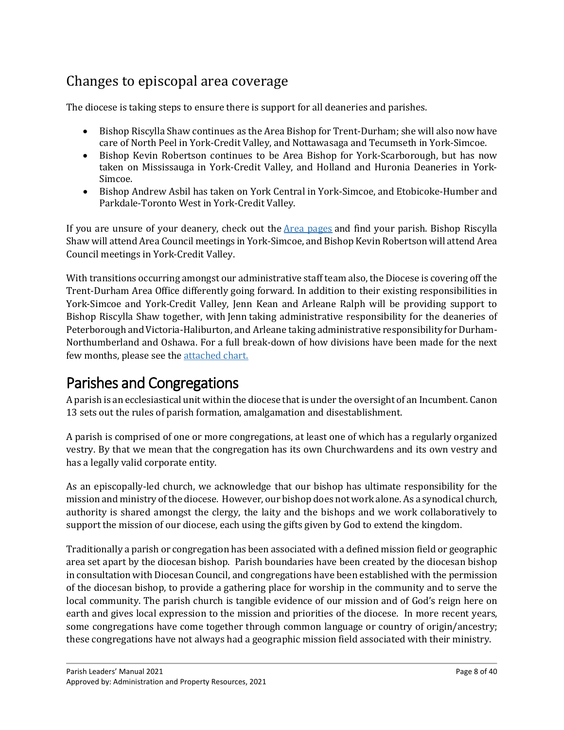### Changes to episcopal area coverage

The diocese is taking steps to ensure there is support for all deaneries and parishes.

- Bishop Riscylla Shaw continues as the Area Bishop for Trent-Durham; she will also now have care of North Peel in York-Credit Valley, and Nottawasaga and Tecumseth in York-Simcoe.
- Bishop Kevin Robertson continues to be Area Bishop for York-Scarborough, but has now taken on Mississauga in York-Credit Valley, and Holland and Huronia Deaneries in York-Simcoe.
- Bishop Andrew Asbil has taken on York Central in York-Simcoe, and Etobicoke-Humber and Parkdale-Toronto West in York-Credit Valley.

If you are unsure of your deanery, check out the [Area pages](https://www.toronto.anglican.ca/about-us/episcopal-areas/) and find your parish. Bishop Riscylla Shaw will attend Area Council meetings in York-Simcoe, and Bishop Kevin Robertson will attend Area Council meetings in York-Credit Valley.

With transitions occurring amongst our administrative staff team also, the Diocese is covering off the Trent-Durham Area Office differently going forward. In addition to their existing responsibilities in York-Simcoe and York-Credit Valley, Jenn Kean and Arleane Ralph will be providing support to Bishop Riscylla Shaw together, with [Jenn](mailto:trentdurham@toronto.anglican.ca) taking administrative responsibility for the deaneries of Peterborough and Victoria-Haliburton, and [Arleane](mailto:trentdurham@toronto.anglican.ca) taking administrative responsibility for Durham-Northumberland and Oshawa. For a full break-down of how divisions have been made for the next few months, please see the [attached chart.](https://www.toronto.anglican.ca/episcopal-administrative-oversight-as-of-february-19-2/)

### <span id="page-7-0"></span>Parishes and Congregations

A parish is an ecclesiastical unit within the diocese that is under the oversight of an Incumbent. Canon 13 sets out the rules of parish formation, amalgamation and disestablishment.

A parish is comprised of one or more congregations, at least one of which has a regularly organized vestry. By that we mean that the congregation has its own Churchwardens and its own vestry and has a legally valid corporate entity.

As an episcopally-led church, we acknowledge that our bishop has ultimate responsibility for the mission and ministry of the diocese. However, our bishop does not work alone. As a synodical church, authority is shared amongst the clergy, the laity and the bishops and we work collaboratively to support the mission of our diocese, each using the gifts given by God to extend the kingdom.

Traditionally a parish or congregation has been associated with a defined mission field or geographic area set apart by the diocesan bishop. Parish boundaries have been created by the diocesan bishop in consultation with Diocesan Council, and congregations have been established with the permission of the diocesan bishop, to provide a gathering place for worship in the community and to serve the local community. The parish church is tangible evidence of our mission and of God's reign here on earth and gives local expression to the mission and priorities of the diocese. In more recent years, some congregations have come together through common language or country of origin/ancestry; these congregations have not always had a geographic mission field associated with their ministry.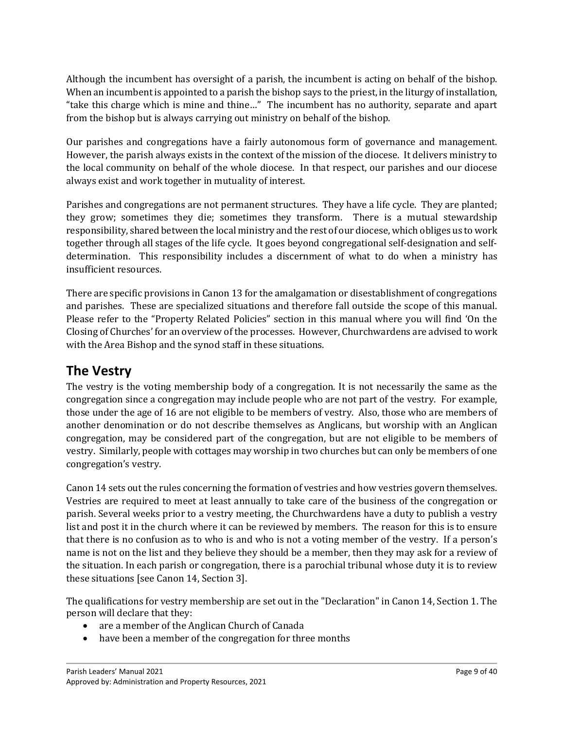Although the incumbent has oversight of a parish, the incumbent is acting on behalf of the bishop. When an incumbent is appointed to a parish the bishop says to the priest, in the liturgy of installation, "take this charge which is mine and thine…" The incumbent has no authority, separate and apart from the bishop but is always carrying out ministry on behalf of the bishop.

Our parishes and congregations have a fairly autonomous form of governance and management. However, the parish always exists in the context of the mission of the diocese. It delivers ministry to the local community on behalf of the whole diocese. In that respect, our parishes and our diocese always exist and work together in mutuality of interest.

Parishes and congregations are not permanent structures. They have a life cycle. They are planted; they grow; sometimes they die; sometimes they transform. There is a mutual stewardship responsibility, shared between the local ministry and the rest of our diocese, which obliges us to work together through all stages of the life cycle. It goes beyond congregational self-designation and selfdetermination. This responsibility includes a discernment of what to do when a ministry has insufficient resources.

There are specific provisions in Canon 13 for the amalgamation or disestablishment of congregations and parishes. These are specialized situations and therefore fall outside the scope of this manual. Please refer to the "Property Related Policies" section in this manual where you will find 'On the Closing of Churches' for an overview of the processes. However, Churchwardens are advised to work with the Area Bishop and the synod staff in these situations.

### <span id="page-8-0"></span>**The Vestry**

The vestry is the voting membership body of a congregation. It is not necessarily the same as the congregation since a congregation may include people who are not part of the vestry. For example, those under the age of 16 are not eligible to be members of vestry. Also, those who are members of another denomination or do not describe themselves as Anglicans, but worship with an Anglican congregation, may be considered part of the congregation, but are not eligible to be members of vestry. Similarly, people with cottages may worship in two churches but can only be members of one congregation's vestry.

Canon 14 sets out the rules concerning the formation of vestries and how vestries govern themselves. Vestries are required to meet at least annually to take care of the business of the congregation or parish. Several weeks prior to a vestry meeting, the Churchwardens have a duty to publish a vestry list and post it in the church where it can be reviewed by members. The reason for this is to ensure that there is no confusion as to who is and who is not a voting member of the vestry. If a person's name is not on the list and they believe they should be a member, then they may ask for a review of the situation. In each parish or congregation, there is a parochial tribunal whose duty it is to review these situations [see Canon 14, Section 3].

The qualifications for vestry membership are set out in the "Declaration" in Canon 14, Section 1. The person will declare that they:

- are a member of the Anglican Church of Canada
- have been a member of the congregation for three months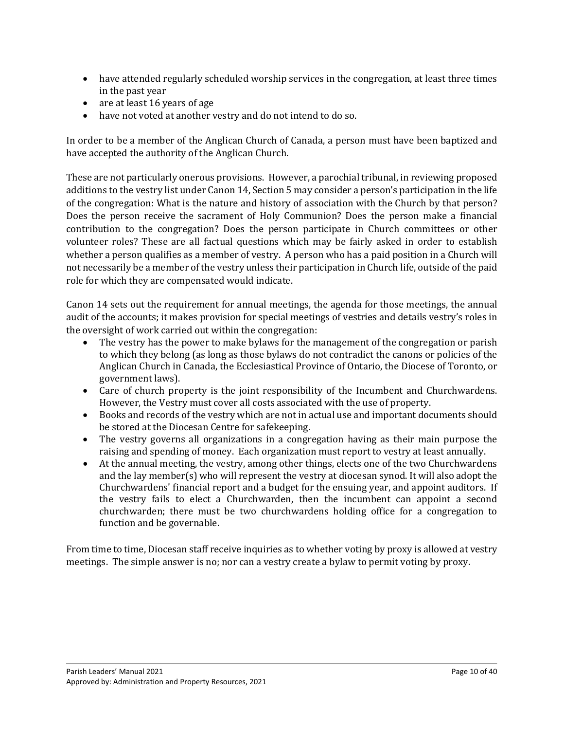- have attended regularly scheduled worship services in the congregation, at least three times in the past year
- are at least 16 years of age
- have not voted at another vestry and do not intend to do so.

In order to be a member of the Anglican Church of Canada, a person must have been baptized and have accepted the authority of the Anglican Church.

These are not particularly onerous provisions. However, a parochial tribunal, in reviewing proposed additions to the vestry list under Canon 14, Section 5 may consider a person's participation in the life of the congregation: What is the nature and history of association with the Church by that person? Does the person receive the sacrament of Holy Communion? Does the person make a financial contribution to the congregation? Does the person participate in Church committees or other volunteer roles? These are all factual questions which may be fairly asked in order to establish whether a person qualifies as a member of vestry. A person who has a paid position in a Church will not necessarily be a member of the vestry unless their participation in Church life, outside of the paid role for which they are compensated would indicate.

Canon 14 sets out the requirement for annual meetings, the agenda for those meetings, the annual audit of the accounts; it makes provision for special meetings of vestries and details vestry's roles in the oversight of work carried out within the congregation:

- The vestry has the power to make bylaws for the management of the congregation or parish to which they belong (as long as those bylaws do not contradict the canons or policies of the Anglican Church in Canada, the Ecclesiastical Province of Ontario, the Diocese of Toronto, or government laws).
- Care of church property is the joint responsibility of the Incumbent and Churchwardens. However, the Vestry must cover all costs associated with the use of property.
- Books and records of the vestry which are not in actual use and important documents should be stored at the Diocesan Centre for safekeeping.
- The vestry governs all organizations in a congregation having as their main purpose the raising and spending of money. Each organization must report to vestry at least annually.
- At the annual meeting, the vestry, among other things, elects one of the two Churchwardens and the lay member(s) who will represent the vestry at diocesan synod. It will also adopt the Churchwardens' financial report and a budget for the ensuing year, and appoint auditors. If the vestry fails to elect a Churchwarden, then the incumbent can appoint a second churchwarden; there must be two churchwardens holding office for a congregation to function and be governable.

From time to time, Diocesan staff receive inquiries as to whether voting by proxy is allowed at vestry meetings. The simple answer is no; nor can a vestry create a bylaw to permit voting by proxy.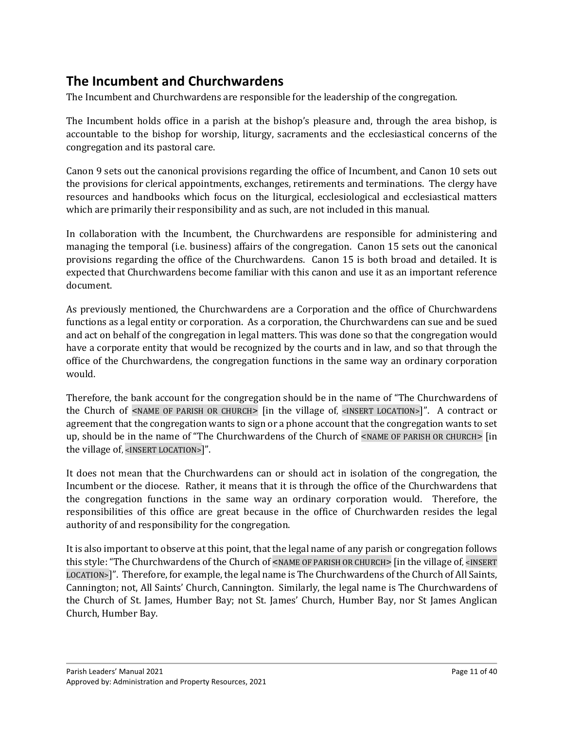### <span id="page-10-0"></span>**The Incumbent and Churchwardens**

The Incumbent and Churchwardens are responsible for the leadership of the congregation.

The Incumbent holds office in a parish at the bishop's pleasure and, through the area bishop, is accountable to the bishop for worship, liturgy, sacraments and the ecclesiastical concerns of the congregation and its pastoral care.

Canon 9 sets out the canonical provisions regarding the office of Incumbent, and Canon 10 sets out the provisions for clerical appointments, exchanges, retirements and terminations. The clergy have resources and handbooks which focus on the liturgical, ecclesiological and ecclesiastical matters which are primarily their responsibility and as such, are not included in this manual.

In collaboration with the Incumbent, the Churchwardens are responsible for administering and managing the temporal (i.e. business) affairs of the congregation. Canon 15 sets out the canonical provisions regarding the office of the Churchwardens. Canon 15 is both broad and detailed. It is expected that Churchwardens become familiar with this canon and use it as an important reference document.

As previously mentioned, the Churchwardens are a Corporation and the office of Churchwardens functions as a legal entity or corporation. As a corporation, the Churchwardens can sue and be sued and act on behalf of the congregation in legal matters. This was done so that the congregation would have a corporate entity that would be recognized by the courts and in law, and so that through the office of the Churchwardens, the congregation functions in the same way an ordinary corporation would.

Therefore, the bank account for the congregation should be in the name of "The Churchwardens of the Church of <NAME OF PARISH OR CHURCH> [in the village of, <INSERT LOCATION>]". A contract or agreement that the congregation wants to sign or a phone account that the congregation wants to set up, should be in the name of "The Churchwardens of the Church of <NAME OF PARISH OR CHURCH> [in the village of, <INSERT LOCATION>]".

It does not mean that the Churchwardens can or should act in isolation of the congregation, the Incumbent or the diocese. Rather, it means that it is through the office of the Churchwardens that the congregation functions in the same way an ordinary corporation would. Therefore, the responsibilities of this office are great because in the office of Churchwarden resides the legal authority of and responsibility for the congregation.

It is also important to observe at this point, that the legal name of any parish or congregation follows this style: "The Churchwardens of the Church of <NAME OF PARISH OR CHURCH> [in the village of, <INSERT LOCATION>]". Therefore, for example, the legal name is The Churchwardens of the Church of All Saints, Cannington; not, All Saints' Church, Cannington. Similarly, the legal name is The Churchwardens of the Church of St. James, Humber Bay; not St. James' Church, Humber Bay, nor St James Anglican Church, Humber Bay.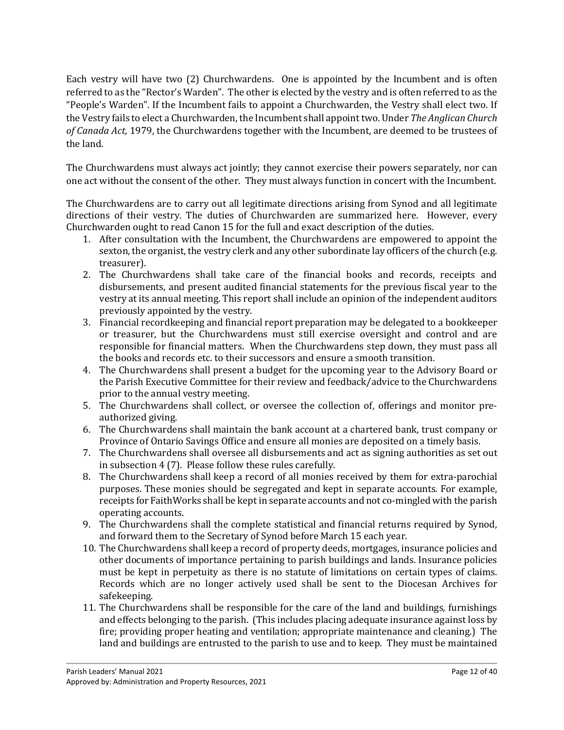Each vestry will have two (2) Churchwardens. One is appointed by the Incumbent and is often referred to as the "Rector's Warden". The other is elected by the vestry and is often referred to as the "People's Warden". If the Incumbent fails to appoint a Churchwarden, the Vestry shall elect two. If the Vestry fails to elect a Churchwarden, the Incumbent shall appoint two. Under *The Anglican Church of Canada Act*, 1979, the Churchwardens together with the Incumbent, are deemed to be trustees of the land.

The Churchwardens must always act jointly; they cannot exercise their powers separately, nor can one act without the consent of the other. They must always function in concert with the Incumbent.

The Churchwardens are to carry out all legitimate directions arising from Synod and all legitimate directions of their vestry. The duties of Churchwarden are summarized here. However, every Churchwarden ought to read Canon 15 for the full and exact description of the duties.

- 1. After consultation with the Incumbent, the Churchwardens are empowered to appoint the sexton, the organist, the vestry clerk and any other subordinate lay officers of the church (e.g. treasurer).
- 2. The Churchwardens shall take care of the financial books and records, receipts and disbursements, and present audited financial statements for the previous fiscal year to the vestry at its annual meeting. This report shall include an opinion of the independent auditors previously appointed by the vestry.
- 3. Financial recordkeeping and financial report preparation may be delegated to a bookkeeper or treasurer, but the Churchwardens must still exercise oversight and control and are responsible for financial matters. When the Churchwardens step down, they must pass all the books and records etc. to their successors and ensure a smooth transition.
- 4. The Churchwardens shall present a budget for the upcoming year to the Advisory Board or the Parish Executive Committee for their review and feedback/advice to the Churchwardens prior to the annual vestry meeting.
- 5. The Churchwardens shall collect, or oversee the collection of, offerings and monitor preauthorized giving.
- 6. The Churchwardens shall maintain the bank account at a chartered bank, trust company or Province of Ontario Savings Office and ensure all monies are deposited on a timely basis.
- 7. The Churchwardens shall oversee all disbursements and act as signing authorities as set out in subsection 4 (7). Please follow these rules carefully.
- 8. The Churchwardens shall keep a record of all monies received by them for extra-parochial purposes. These monies should be segregated and kept in separate accounts. For example, receipts for FaithWorks shall be kept in separate accounts and not co-mingled with the parish operating accounts.
- 9. The Churchwardens shall the complete statistical and financial returns required by Synod, and forward them to the Secretary of Synod before March 15 each year.
- 10. The Churchwardens shall keep a record of property deeds, mortgages, insurance policies and other documents of importance pertaining to parish buildings and lands. Insurance policies must be kept in perpetuity as there is no statute of limitations on certain types of claims. Records which are no longer actively used shall be sent to the Diocesan Archives for safekeeping.
- 11. The Churchwardens shall be responsible for the care of the land and buildings, furnishings and effects belonging to the parish. (This includes placing adequate insurance against loss by fire; providing proper heating and ventilation; appropriate maintenance and cleaning.) The land and buildings are entrusted to the parish to use and to keep. They must be maintained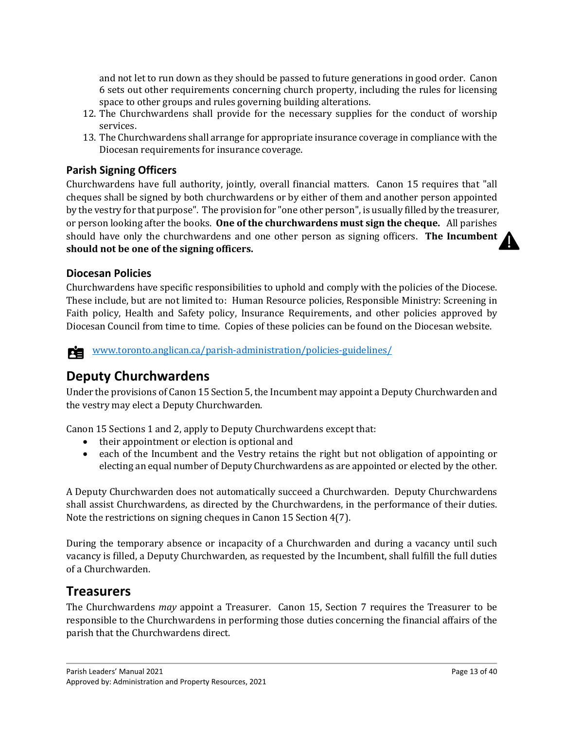and not let to run down as they should be passed to future generations in good order. Canon 6 sets out other requirements concerning church property, including the rules for licensing space to other groups and rules governing building alterations.

- 12. The Churchwardens shall provide for the necessary supplies for the conduct of worship services.
- 13. The Churchwardens shall arrange for appropriate insurance coverage in compliance with the Diocesan requirements for insurance coverage.

#### <span id="page-12-0"></span>**Parish Signing Officers**

Churchwardens have full authority, jointly, overall financial matters. Canon 15 requires that "all cheques shall be signed by both churchwardens or by either of them and another person appointed by the vestry for that purpose". The provision for "one other person", is usually filled by the treasurer, or person looking after the books. **One of the churchwardens must sign the cheque.** All parishes should have only the churchwardens and one other person as signing officers. **The Incumbent should not be one of the signing officers.** 

#### <span id="page-12-1"></span>**Diocesan Policies**

Churchwardens have specific responsibilities to uphold and comply with the policies of the Diocese. These include, but are not limited to: Human Resource policies, Responsible Ministry: Screening in Faith policy, Health and Safety policy, Insurance Requirements, and other policies approved by Diocesan Council from time to time. Copies of these policies can be found on the Diocesan website.

#### [www.toronto.anglican.ca/parish-administration/policies-guidelines/](http://www.toronto.anglican.ca/parish-administration/policies-guidelines/)

### <span id="page-12-2"></span>**Deputy Churchwardens**

Under the provisions of Canon 15 Section 5, the Incumbent may appoint a Deputy Churchwarden and the vestry may elect a Deputy Churchwarden.

Canon 15 Sections 1 and 2, apply to Deputy Churchwardens except that:

- their appointment or election is optional and
- each of the Incumbent and the Vestry retains the right but not obligation of appointing or electing an equal number of Deputy Churchwardens as are appointed or elected by the other.

A Deputy Churchwarden does not automatically succeed a Churchwarden. Deputy Churchwardens shall assist Churchwardens, as directed by the Churchwardens, in the performance of their duties. Note the restrictions on signing cheques in Canon 15 Section 4(7).

During the temporary absence or incapacity of a Churchwarden and during a vacancy until such vacancy is filled, a Deputy Churchwarden, as requested by the Incumbent, shall fulfill the full duties of a Churchwarden.

#### <span id="page-12-3"></span>**Treasurers**

The Churchwardens *may* appoint a Treasurer. Canon 15, Section 7 requires the Treasurer to be responsible to the Churchwardens in performing those duties concerning the financial affairs of the parish that the Churchwardens direct.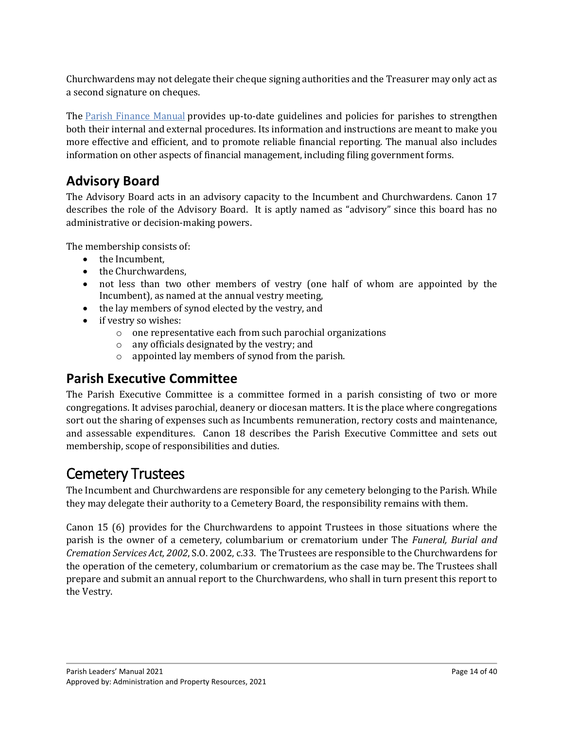Churchwardens may not delegate their cheque signing authorities and the Treasurer may only act as a second signature on cheques.

The [Parish Finance Manual](https://www.toronto.anglican.ca/uploads.php?id=5091679fbb44a) provides up-to-date guidelines and policies for parishes to strengthen both their internal and external procedures. Its information and instructions are meant to make you more effective and efficient, and to promote reliable financial reporting. The manual also includes information on other aspects of financial management, including filing government forms.

### <span id="page-13-0"></span>**Advisory Board**

The Advisory Board acts in an advisory capacity to the Incumbent and Churchwardens. Canon 17 describes the role of the Advisory Board. It is aptly named as "advisory" since this board has no administrative or decision-making powers.

The membership consists of:

- the Incumbent,
- the Churchwardens.
- not less than two other members of vestry (one half of whom are appointed by the Incumbent), as named at the annual vestry meeting,
- the lay members of synod elected by the vestry, and
- if vestry so wishes:
	- o one representative each from such parochial organizations
	- o any officials designated by the vestry; and
	- o appointed lay members of synod from the parish.

### <span id="page-13-1"></span>**Parish Executive Committee**

The Parish Executive Committee is a committee formed in a parish consisting of two or more congregations. It advises parochial, deanery or diocesan matters. It is the place where congregations sort out the sharing of expenses such as Incumbents remuneration, rectory costs and maintenance, and assessable expenditures. Canon 18 describes the Parish Executive Committee and sets out membership, scope of responsibilities and duties.

### <span id="page-13-2"></span>Cemetery Trustees

The Incumbent and Churchwardens are responsible for any cemetery belonging to the Parish. While they may delegate their authority to a Cemetery Board, the responsibility remains with them.

Canon 15 (6) provides for the Churchwardens to appoint Trustees in those situations where the parish is the owner of a cemetery, columbarium or crematorium under The *Funeral, Burial and Cremation Services Act, 2002*, S.O. 2002, c.33. The Trustees are responsible to the Churchwardens for the operation of the cemetery, columbarium or crematorium as the case may be. The Trustees shall prepare and submit an annual report to the Churchwardens, who shall in turn present this report to the Vestry.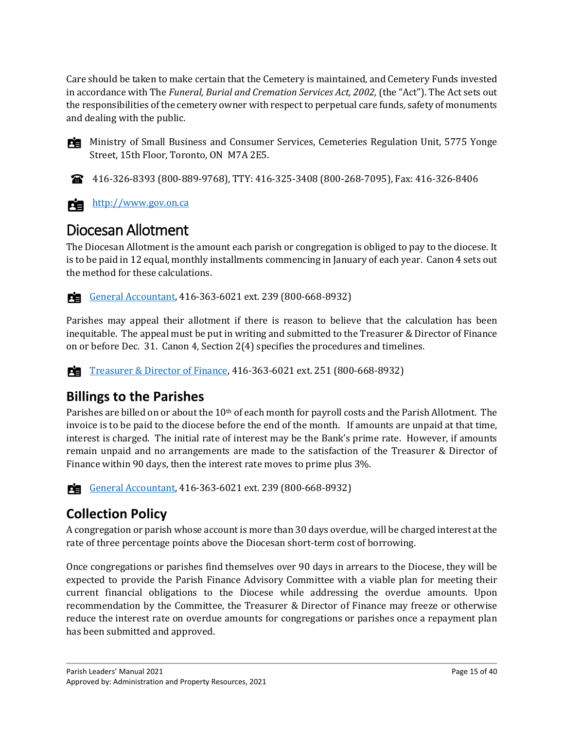Care should be taken to make certain that the Cemetery is maintained, and Cemetery Funds invested in accordance with The *Funeral, Burial and Cremation Services Act, 2002*, (the "Act"). The Act sets out the responsibilities of the cemetery owner with respect to perpetual care funds, safety of monuments and dealing with the public.



**PH** Ministry of Small Business and Consumer Services, Cemeteries Regulation Unit, 5775 Yonge Street, 15th Floor, Toronto, ON M7A 2E5.

416-326-8393 (800-889-9768), TTY: 416-325-3408 (800-268-7095), Fax: 416-326-8406



### <span id="page-14-0"></span>Diocesan Allotment

The Diocesan Allotment is the amount each parish or congregation is obliged to pay to the diocese. It is to be paid in 12 equal, monthly installments commencing in January of each year. Canon 4 sets out the method for these calculations.



[General Accountant,](mailto:kstilling@toronto.anglican.ca) 416-363-6021 ext. 239 (800-668-8932)

Parishes may appeal their allotment if there is reason to believe that the calculation has been inequitable. The appeal must be put in writing and submitted to the Treasurer & Director of Finance on or before Dec. 31. Canon 4, Section 2(4) specifies the procedures and timelines.

[Treasurer & Director of Finance,](mailto:rsaffrey@toronto.anglican.ca) 416-363-6021 ext. 251 (800-668-8932)

### <span id="page-14-1"></span>**Billings to the Parishes**

Parishes are billed on or about the  $10<sup>th</sup>$  of each month for payroll costs and the Parish Allotment. The invoice is to be paid to the diocese before the end of the month. If amounts are unpaid at that time, interest is charged. The initial rate of interest may be the Bank's prime rate. However, if amounts remain unpaid and no arrangements are made to the satisfaction of the Treasurer & Director of Finance within 90 days, then the interest rate moves to prime plus 3%.

[General Accountant,](mailto:kstilling@toronto.anglican.ca) 416-363-6021 ext. 239 (800-668-8932)

### <span id="page-14-2"></span>**Collection Policy**

A congregation or parish whose account is more than 30 days overdue, will be charged interest at the rate of three percentage points above the Diocesan short-term cost of borrowing.

Once congregations or parishes find themselves over 90 days in arrears to the Diocese, they will be expected to provide the Parish Finance Advisory Committee with a viable plan for meeting their current financial obligations to the Diocese while addressing the overdue amounts. Upon recommendation by the Committee, the Treasurer & Director of Finance may freeze or otherwise reduce the interest rate on overdue amounts for congregations or parishes once a repayment plan has been submitted and approved.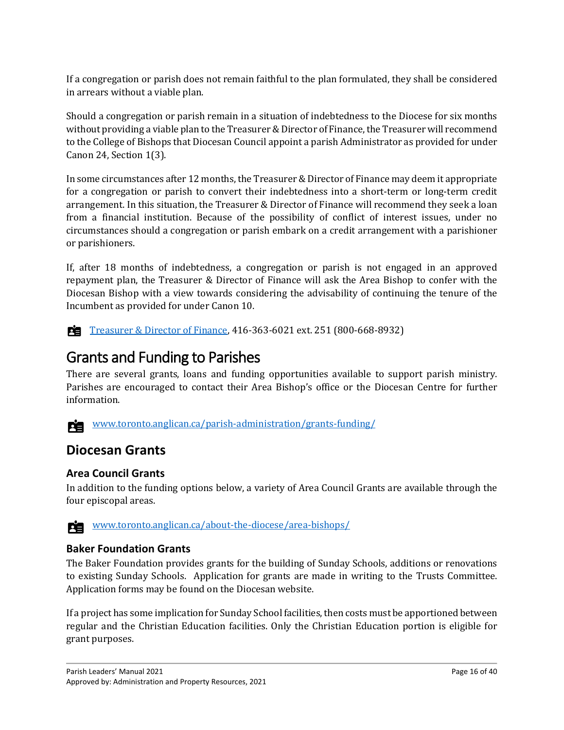If a congregation or parish does not remain faithful to the plan formulated, they shall be considered in arrears without a viable plan.

Should a congregation or parish remain in a situation of indebtedness to the Diocese for six months without providing a viable plan to the Treasurer & Director of Finance, the Treasurer will recommend to the College of Bishops that Diocesan Council appoint a parish Administrator as provided for under Canon 24, Section 1(3).

In some circumstances after 12 months, the Treasurer & Director of Finance may deem it appropriate for a congregation or parish to convert their indebtedness into a short-term or long-term credit arrangement. In this situation, the Treasurer & Director of Finance will recommend they seek a loan from a financial institution. Because of the possibility of conflict of interest issues, under no circumstances should a congregation or parish embark on a credit arrangement with a parishioner or parishioners.

If, after 18 months of indebtedness, a congregation or parish is not engaged in an approved repayment plan, the Treasurer & Director of Finance will ask the Area Bishop to confer with the Diocesan Bishop with a view towards considering the advisability of continuing the tenure of the Incumbent as provided for under Canon 10.

**THE Treasurer & [Director of Finance,](mailto:rsaffrey@toronto.anglican.ca) 416-363-6021 ext. 251 (800-668-8932)** 

### <span id="page-15-0"></span>Grants and Funding to Parishes

There are several grants, loans and funding opportunities available to support parish ministry. Parishes are encouraged to contact their Area Bishop's office or the Diocesan Centre for further information.

[www.toronto.anglican.ca/parish-administration/grants-funding/](http://www.toronto.anglican.ca/parish-administration/grants-funding/) ra

### <span id="page-15-1"></span>**Diocesan Grants**

#### <span id="page-15-2"></span>**Area Council Grants**

In addition to the funding options below, a variety of Area Council Grants are available through the four episcopal areas.

[www.toronto.anglican.ca/about-the-diocese/area-bishops/](http://www.toronto.anglican.ca/about-the-diocese/area-bishops/) 咱

#### <span id="page-15-3"></span>**Baker Foundation Grants**

The Baker Foundation provides grants for the building of Sunday Schools, additions or renovations to existing Sunday Schools. Application for grants are made in writing to the Trusts Committee. Application forms may be found on the Diocesan website.

If a project has some implication for Sunday School facilities, then costs must be apportioned between regular and the Christian Education facilities. Only the Christian Education portion is eligible for grant purposes.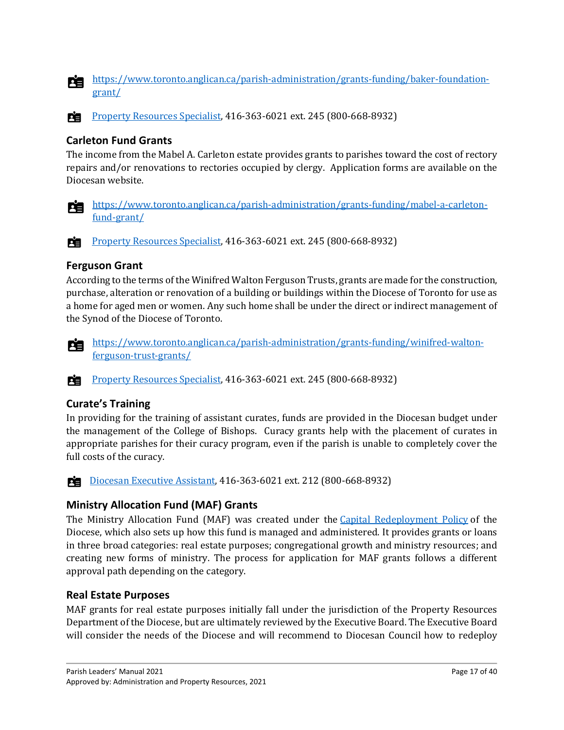[https://www.toronto.anglican.ca/parish-administration/grants-funding/baker-foundation](https://www.toronto.anglican.ca/parish-administration/grants-funding/baker-foundation-grant/)[grant/](https://www.toronto.anglican.ca/parish-administration/grants-funding/baker-foundation-grant/)

**[Property Resources](mailto:wpearson@toronto.anglican.ca) Specialist, 416-363-6021 ext. 245 (800-668-8932)** 

#### <span id="page-16-0"></span>**Carleton Fund Grants**

The income from the Mabel A. Carleton estate provides grants to parishes toward the cost of rectory repairs and/or renovations to rectories occupied by clergy. Application forms are available on the Diocesan website.



[https://www.toronto.anglican.ca/parish-administration/grants-funding/mabel-a-carleton](https://www.toronto.anglican.ca/parish-administration/grants-funding/mabel-a-carleton-fund-grant/)[fund-grant/](https://www.toronto.anglican.ca/parish-administration/grants-funding/mabel-a-carleton-fund-grant/)

**[Property Resources Specialist,](mailto:wpearson@toronto.anglican.ca) 416-363-6021 ext. 245 (800-668-8932)** 

#### <span id="page-16-1"></span>**Ferguson Grant**

According to the terms of the Winifred Walton Ferguson Trusts, grants are made for the construction, purchase, alteration or renovation of a building or buildings within the Diocese of Toronto for use as a home for aged men or women. Any such home shall be under the direct or indirect management of the Synod of the Diocese of Toronto.



[https://www.toronto.anglican.ca/parish-administration/grants-funding/winifred-walton](https://www.toronto.anglican.ca/parish-administration/grants-funding/winifred-walton-ferguson-trust-grants/)[ferguson-trust-grants/](https://www.toronto.anglican.ca/parish-administration/grants-funding/winifred-walton-ferguson-trust-grants/)

**[Property Resources Specialist,](mailto:wpearson@toronto.anglican.ca) 416-363-6021 ext. 245 (800-668-8932)** 

#### <span id="page-16-2"></span>**Curate's Training**

In providing for the training of assistant curates, funds are provided in the Diocesan budget under the management of the College of Bishops. Curacy grants help with the placement of curates in appropriate parishes for their curacy program, even if the parish is unable to completely cover the full costs of the curacy.

**PH** [Diocesan Executive Assistant,](mailto:mconliffe@toronto.anglican.ca) 416-363-6021 ext. 212 (800-668-8932)

#### <span id="page-16-3"></span>**Ministry Allocation Fund (MAF) Grants**

The Ministry Allocation Fund (MAF) was created under the [Capital Redeployment Policy](https://www.toronto.anglican.ca/uploads.php?id=4db7183b0a6cb) of the Diocese, which also sets up how this fund is managed and administered. It provides grants or loans in three broad categories: real estate purposes; congregational growth and ministry resources; and creating new forms of ministry. The process for application for MAF grants follows a different approval path depending on the category.

#### <span id="page-16-4"></span>**Real Estate Purposes**

MAF grants for real estate purposes initially fall under the jurisdiction of the Property Resources Department of the Diocese, but are ultimately reviewed by the [Executive Board.](https://www.toronto.anglican.ca/about-the-diocese/corporate-information/diocesan-council-and-its-committees/2153-2/) The Executive Board will consider the needs of the Diocese and will recommend to Diocesan Council how to redeploy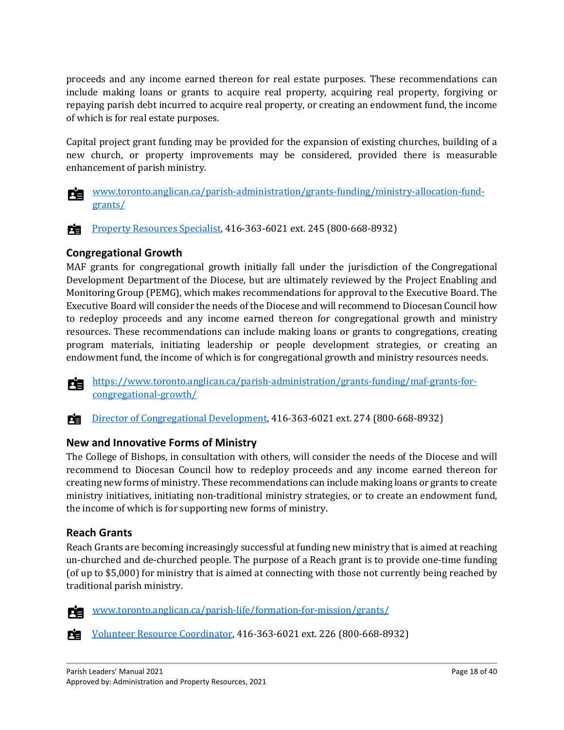proceeds and any income earned thereon for real estate purposes. These recommendations can include making loans or grants to acquire real property, acquiring real property, forgiving or repaying parish debt incurred to acquire real property, or creating an endowment fund, the income of which is for real estate purposes.

Capital project grant funding may be provided for the expansion of existing churches, building of a new church, or property improvements may be considered, provided there is measurable enhancement of parish ministry.



[www.toronto.anglican.ca/parish-administration/grants-funding/ministry-allocation-fund](https://www.toronto.anglican.ca/parish-administration/grants-funding/ministry-allocation-fund-maf-grants-for-real-estate-purposes/)[grants/](https://www.toronto.anglican.ca/parish-administration/grants-funding/ministry-allocation-fund-maf-grants-for-real-estate-purposes/)

**[Property Resources Specialist,](mailto:wpearson@toronto.anglican.ca) 416-363-6021 ext. 245 (800-668-8932)** 

#### <span id="page-17-0"></span>**Congregational Growth**

MAF grants for congregational growth initially fall under the jurisdiction of the [Congregational](https://www.toronto.anglican.ca/about-the-diocese/departments/congregational-development/)  [Development Department](https://www.toronto.anglican.ca/about-the-diocese/departments/congregational-development/) of the Diocese, but are ultimately reviewed by the Project Enabling and Monitoring Group (PEMG), which makes recommendations for approval to the [Executive Board.](https://www.toronto.anglican.ca/about-the-diocese/corporate-information/diocesan-council-and-its-committees/2153-2/) The Executive Board will consider the needs of the Diocese and will recommend to Diocesan Council how to redeploy proceeds and any income earned thereon for congregational growth and ministry resources. These recommendations can include making loans or grants to congregations, creating program materials, initiating leadership or people development strategies, or creating an endowment fund, the income of which is for congregational growth and ministry resources needs.

[https://www.toronto.anglican.ca/parish-administration/grants-funding/maf-grants-for](https://www.toronto.anglican.ca/parish-administration/grants-funding/maf-grants-for-congregational-growth/)[congregational-growth/](https://www.toronto.anglican.ca/parish-administration/grants-funding/maf-grants-for-congregational-growth/)

**PH** [Director of Congregational Development,](mailto:jmarshall@toronto.anglican.ca) 416-363-6021 ext. 274 (800-668-8932)

#### <span id="page-17-1"></span>**New and Innovative Forms of Ministry**

The College of Bishops, in consultation with others, will consider the needs of the Diocese and will recommend to Diocesan Council how to redeploy proceeds and any income earned thereon for creating new forms of ministry. These recommendations can include making loans or grants to create ministry initiatives, initiating non-traditional ministry strategies, or to create an endowment fund, the income of which is for supporting new forms of ministry.

#### <span id="page-17-2"></span>**Reach Grants**

Reach Grants are becoming increasingly successful at funding new ministry that is aimed at reaching un-churched and de-churched people. The purpose of a Reach grant is to provide one-time funding (of up to \$5,000) for ministry that is aimed at connecting with those not currently being reached by traditional parish ministry.



[www.toronto.anglican.ca/parish-life/formation-for-mission/grants/](http://www.toronto.anglican.ca/parish-life/formation-for-mission/grants/)

**PELICOORDER EXAMPEDE COOPEN EXECUTE:** 416-363-6021 ext. 226 (800-668-8932)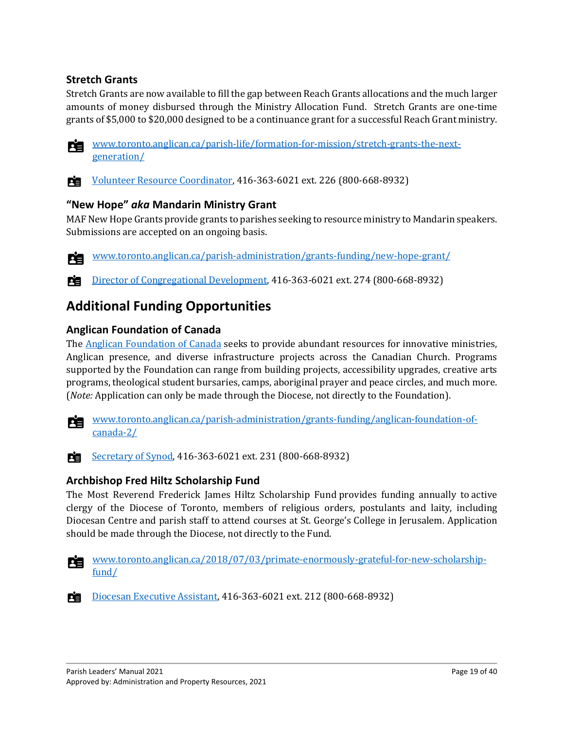#### <span id="page-18-0"></span>**Stretch Grants**

Stretch Grants are now available to fill the gap between Reach Grants allocations and the much larger amounts of money disbursed through the Ministry Allocation Fund. Stretch Grants are one-time grants of \$5,000 to \$20,000 designed to be a continuance grant for a successful Reach Grant ministry.



[www.toronto.anglican.ca/parish-life/formation-for-mission/stretch-grants-the-next](http://www.toronto.anglican.ca/parish-life/formation-for-mission/stretch-grants-the-next-generation/)[generation/](http://www.toronto.anglican.ca/parish-life/formation-for-mission/stretch-grants-the-next-generation/)

**Example 3 [Volunteer Resource Coordinator,](mailto:emccaffrey@toronto.anglican.ca) 416-363-6021 ext. 226 (800-668-8932)** 

#### <span id="page-18-1"></span>**"New Hope"** *aka* **Mandarin Ministry Grant**

MAF New Hope Grants provide grants to parishes seeking to resource ministry to Mandarin speakers. Submissions are accepted on an ongoing basis.

[www.toronto.anglican.ca/parish-administration/grants-funding/new-hope-grant/](http://www.toronto.anglican.ca/parish-administration/grants-funding/new-hope-grant/) FЗ

р'n. [Director of Congregational Development,](mailto:jmarshall@toronto.anglican.ca) 416-363-6021 ext. 274 (800-668-8932)

### <span id="page-18-2"></span>**Additional Funding Opportunities**

#### <span id="page-18-3"></span>**Anglican Foundation of Canada**

The [Anglican Foundation of Canada](https://www.toronto.anglican.ca/parish-administration/grants-funding/anglican-foundation-of-canada-2/) seeks to provide abundant resources for innovative ministries, Anglican presence, and diverse infrastructure projects across the Canadian Church. Programs supported by the Foundation can range from building projects, accessibility upgrades, creative arts programs, theological student bursaries, camps, aboriginal prayer and peace circles, and much more. (*Note:* Application can only be made through the Diocese, not directly to the Foundation).



[www.toronto.anglican.ca/parish-administration/grants-funding/anglican-foundation-of](http://www.toronto.anglican.ca/parish-administration/grants-funding/anglican-foundation-of-canada-2/)[canada-2/](http://www.toronto.anglican.ca/parish-administration/grants-funding/anglican-foundation-of-canada-2/)

[Secretary of Synod,](mailto:pboisvert@toronto.anglican.ca) 416-363-6021 ext. 231 (800-668-8932)

#### <span id="page-18-4"></span>**Archbishop Fred Hiltz Scholarship Fund**

The Most Reverend Frederick James Hiltz Scholarship Fund provides funding annually to active clergy of the Diocese of Toronto, members of religious orders, postulants and laity, including Diocesan Centre and parish staff to attend courses at St. George's College in Jerusalem. Application should be made through the Diocese, not directly to the Fund.



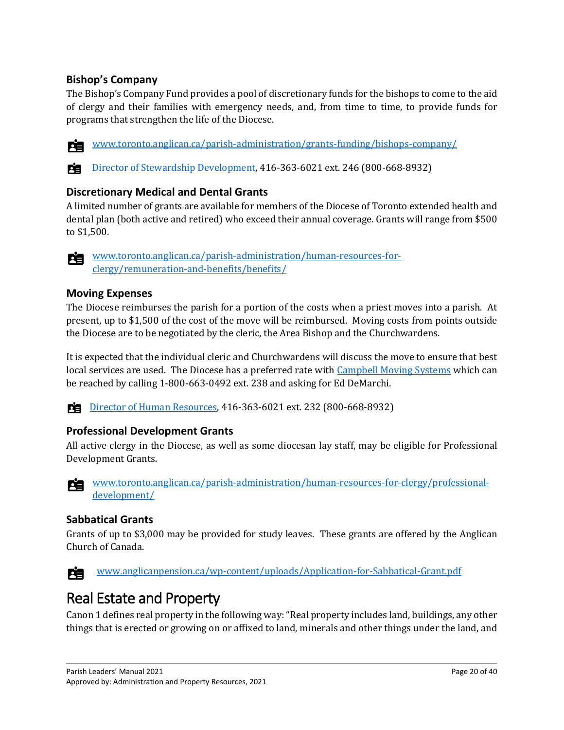#### <span id="page-19-0"></span>**Bishop's Company**

The Bishop's Company Fund provides a pool of discretionary funds for the bishops to come to the aid of clergy and their families with emergency needs, and, from time to time, to provide funds for programs that strengthen the life of the Diocese.

Fa

[www.toronto.anglican.ca/parish-administration/grants-funding/bishops-company/](http://www.toronto.anglican.ca/parish-administration/grants-funding/bishops-company/)

[Director of Stewardship Development,](mailto:pmisiaszek@toronto.anglican.ca) 416-363-6021 ext. 246 (800-668-8932) rе.

#### <span id="page-19-1"></span>**Discretionary Medical and Dental Grants**

A limited number of grants are available for members of the Diocese of Toronto extended health and dental plan (both active and retired) who exceed their annual coverage. Grants will range from \$500 to \$1,500.



[www.toronto.anglican.ca/parish-administration/human-resources-for](http://www.toronto.anglican.ca/parish-administration/human-resources-for-%20%20clergy/remuneration-and-benefits/benefits/)[clergy/remuneration-and-benefits/benefits/](http://www.toronto.anglican.ca/parish-administration/human-resources-for-%20%20clergy/remuneration-and-benefits/benefits/)

#### <span id="page-19-2"></span>**Moving Expenses**

The Diocese reimburses the parish for a portion of the costs when a priest moves into a parish. At present, up to \$1,500 of the cost of the move will be reimbursed. Moving costs from points outside the Diocese are to be negotiated by the cleric, the Area Bishop and the Churchwardens.

It is expected that the individual cleric and Churchwardens will discuss the move to ensure that best local services are used. The Diocese has a preferred rate with [Campbell Moving Systems](http://www.campbellmovingsystems.com/aboutus.html) which can be reached by calling 1-800-663-0492 ext. 238 and asking for Ed DeMarchi.

**[Director of Human Resources,](mailto:djourneaux@toronto.anglican.ca) 416-363-6021 ext. 232 (800-668-8932)** 

#### <span id="page-19-3"></span>**Professional Development Grants**

All active clergy in the Diocese, as well as some diocesan lay staff, may be eligible for Professional Development Grants.



[www.toronto.anglican.ca/parish-administration/human-resources-for-clergy/professional](http://www.toronto.anglican.ca/parish-administration/human-resources-for-clergy/professional-development/)[development/](http://www.toronto.anglican.ca/parish-administration/human-resources-for-clergy/professional-development/)

#### <span id="page-19-4"></span>**Sabbatical Grants**

Grants of up to \$3,000 may be provided for study leaves. These grants are offered by the Anglican Church of Canada.



[www.anglicanpension.ca/wp-content/uploads/Application-for-Sabbatical-Grant.pdf](http://www.anglicanpension.ca/wp-content/uploads/Application-for-Sabbatical-Grant.pdf)

### <span id="page-19-5"></span>Real Estate and Property

Canon 1 defines real property in the following way: "Real property includes land, buildings, any other things that is erected or growing on or affixed to land, minerals and other things under the land, and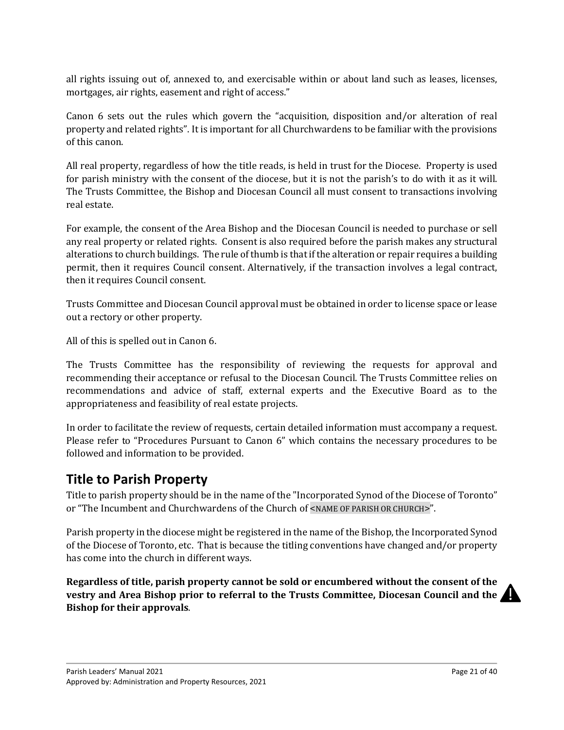all rights issuing out of, annexed to, and exercisable within or about land such as leases, licenses, mortgages, air rights, easement and right of access."

Canon 6 sets out the rules which govern the "acquisition, disposition and/or alteration of real property and related rights". It is important for all Churchwardens to be familiar with the provisions of this canon.

All real property, regardless of how the title reads, is held in trust for the Diocese. Property is used for parish ministry with the consent of the diocese, but it is not the parish's to do with it as it will. The Trusts Committee, the Bishop and Diocesan Council all must consent to transactions involving real estate.

For example, the consent of the Area Bishop and the Diocesan Council is needed to purchase or sell any real property or related rights. Consent is also required before the parish makes any structural alterations to church buildings. The rule of thumb is that if the alteration or repair requires a building permit, then it requires Council consent. Alternatively, if the transaction involves a legal contract, then it requires Council consent.

Trusts Committee and Diocesan Council approval must be obtained in order to license space or lease out a rectory or other property.

All of this is spelled out in Canon 6.

The Trusts Committee has the responsibility of reviewing the requests for approval and recommending their acceptance or refusal to the Diocesan Council. The Trusts Committee relies on recommendations and advice of staff, external experts and the Executive Board as to the appropriateness and feasibility of real estate projects.

In order to facilitate the review of requests, certain detailed information must accompany a request. Please refer to "Procedures Pursuant to Canon 6" which contains the necessary procedures to be followed and information to be provided.

### <span id="page-20-0"></span>**Title to Parish Property**

Title to parish property should be in the name of the "Incorporated Synod of the Diocese of Toronto" or "The Incumbent and Churchwardens of the Church of <NAME OF PARISH OR CHURCH>".

Parish property in the diocese might be registered in the name of the Bishop, the Incorporated Synod of the Diocese of Toronto, etc. That is because the titling conventions have changed and/or property has come into the church in different ways.

**Regardless of title, parish property cannot be sold or encumbered without the consent of the vestry and Area Bishop prior to referral to the Trusts Committee, Diocesan Council and the Bishop for their approvals**.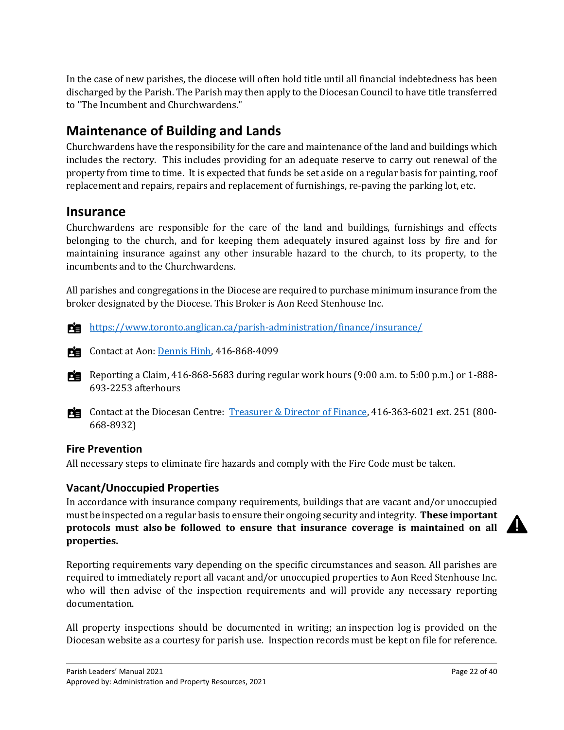In the case of new parishes, the diocese will often hold title until all financial indebtedness has been discharged by the Parish. The Parish may then apply to the Diocesan Council to have title transferred to "The Incumbent and Churchwardens."

### <span id="page-21-0"></span>**Maintenance of Building and Lands**

Churchwardens have the responsibility for the care and maintenance of the land and buildings which includes the rectory. This includes providing for an adequate reserve to carry out renewal of the property from time to time. It is expected that funds be set aside on a regular basis for painting, roof replacement and repairs, repairs and replacement of furnishings, re-paving the parking lot, etc.

#### <span id="page-21-1"></span>**Insurance**

Churchwardens are responsible for the care of the land and buildings, furnishings and effects belonging to the church, and for keeping them adequately insured against loss by fire and for maintaining insurance against any other insurable hazard to the church, to its property, to the incumbents and to the Churchwardens.

All parishes and congregations in the Diocese are required to purchase minimum insurance from the broker designated by the Diocese. This Broker is Aon Reed Stenhouse Inc.

- <https://www.toronto.anglican.ca/parish-administration/finance/insurance/>
- Contact at Aon: [Dennis Hinh,](mailto:dennis.hinh@aon.ca) 416-868-4099
- Reporting a Claim,  $416-868-5683$  during regular work hours  $(9:00$  a.m. to  $5:00$  p.m.) or  $1-888-$ 693-2253 afterhours
- 

**Contact at the Diocesan Centre:** Treasurer [& Director of Finance,](mailto:rsaffrey@toronto.anglican.ca) 416-363-6021 ext. 251 (800-668-8932)

#### <span id="page-21-2"></span>**Fire Prevention**

All necessary steps to eliminate fire hazards and comply with the Fire Code must be taken.

#### <span id="page-21-3"></span>**Vacant/Unoccupied Properties**

In accordance with insurance company requirements, buildings that are vacant and/or unoccupied must be inspected on a regular basis to ensure their ongoing security and integrity. **These important protocols must also be followed to ensure that insurance coverage is maintained on all properties.**

Reporting requirements vary depending on the specific circumstances and season. All parishes are required to immediately report all vacant and/or unoccupied properties to Aon Reed Stenhouse Inc. who will then advise of the inspection requirements and will provide any necessary reporting documentation.

All property inspections should be documented in writing; an [inspection log](https://www.toronto.anglican.ca/uploads.php?id=59bbd8816de8a) is provided on the Diocesan website as a courtesy for parish use. Inspection records must be kept on file for reference.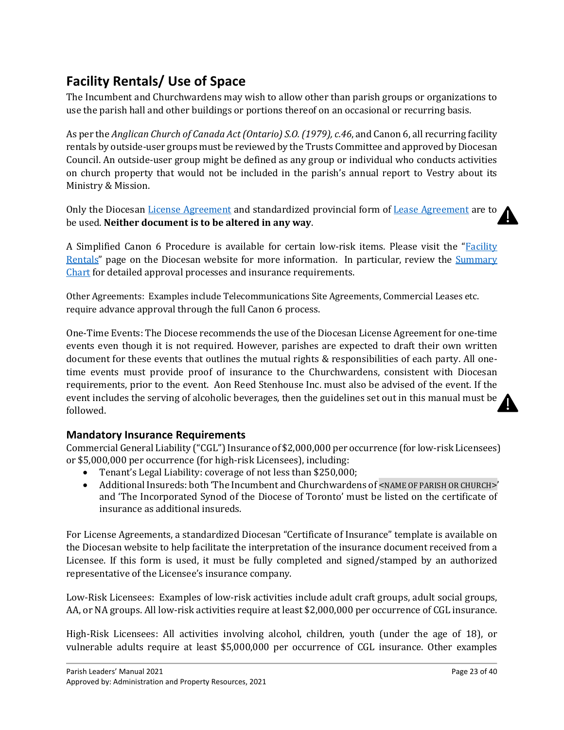### <span id="page-22-0"></span>**Facility Rentals/ Use of Space**

The Incumbent and Churchwardens may wish to allow other than parish groups or organizations to use the parish hall and other buildings or portions thereof on an occasional or recurring basis.

As per the *[Anglican Church of Canada Act \(Ontario\) S.O. \(1979\), c.46](https://www.toronto.anglican.ca/uploads.php?id=4dac9e988948b)*, and [Canon 6,](https://www.toronto.anglican.ca/uploads.php?id=4d7634791023a) all recurring facility rentals by outside-user groups must be reviewed by the Trusts Committee and approved by Diocesan Council. An outside-user group might be defined as any group or individual who conducts activities on church property that would not be included in the parish's annual report to Vestry about its Ministry & Mission.

Only the Diocesan [License Agreement](https://www.toronto.anglican.ca/uploads.php?id=5a1f0751920aa) and standardized provincial form of [Lease Agreement](http://www.forms.ssb.gov.on.ca/mbs/ssb/forms/ssbforms.nsf/FormDetail?OpenForm&ACT=RDR&TAB=PROFILE&SRCH=&ENV=WWE&TIT=2229E&NO=047-2229E) are to be used. **Neither document is to be altered in any way**.

A Simplified Canon 6 Procedure is available for certain low-risk items. Please visit the ["Facility](https://www.toronto.anglican.ca/parish-administration/real-estate/facility-rentals/)  [Rentals"](https://www.toronto.anglican.ca/parish-administration/real-estate/facility-rentals/) page on the Diocesan website for more information.In particular, review the [Summary](https://www.toronto.anglican.ca/uploads.php?id=5c2fc52804f4c)  [Chart](https://www.toronto.anglican.ca/uploads.php?id=5c2fc52804f4c) for detailed approval processes and insurance requirements.

Other Agreements: Examples include Telecommunications Site Agreements, Commercial Leases etc. require advance approval through the full Canon 6 process.

One-Time Events: The Diocese recommends the use of the Diocesan License Agreement for one-time events even though it is not required. However, parishes are expected to draft their own written document for these events that outlines the mutual rights & responsibilities of each party. All onetime events must provide proof of insurance to the Churchwardens, consistent with Diocesan requirements, prior to the event. Aon Reed Stenhouse Inc. must also be advised of the event. If the event includes the serving of alcoholic beverages, then the guidelines set out in this manual must be followed.

#### <span id="page-22-1"></span>**Mandatory Insurance Requirements**

Commercial General Liability ("CGL") Insurance of \$2,000,000 per occurrence (for low-risk Licensees) or \$5,000,000 per occurrence (for high-risk Licensees), including:

- Tenant's Legal Liability: coverage of not less than \$250,000;
- Additional Insureds: both 'The Incumbent and Churchwardens of <NAME OF PARISH OR CHURCH>' and 'The Incorporated Synod of the Diocese of Toronto' must be listed on the certificate of insurance as additional insureds.

For License Agreements, a standardized Diocesan ["Certificate of Insurance" template](https://www.toronto.anglican.ca/uploads.php?id=4dae1415a3a24) is available on the Diocesan website to help facilitate the interpretation of the insurance document received from a Licensee. If this form is used, it must be fully completed and signed/stamped by an authorized representative of the Licensee's insurance company.

Low-Risk Licensees: Examples of low-risk activities include adult craft groups, adult social groups, AA, or NA groups. All low-risk activities require at least \$2,000,000 per occurrence of CGL insurance.

High-Risk Licensees: All activities involving alcohol, children, youth (under the age of 18), or vulnerable adults require at least \$5,000,000 per occurrence of CGL insurance. Other examples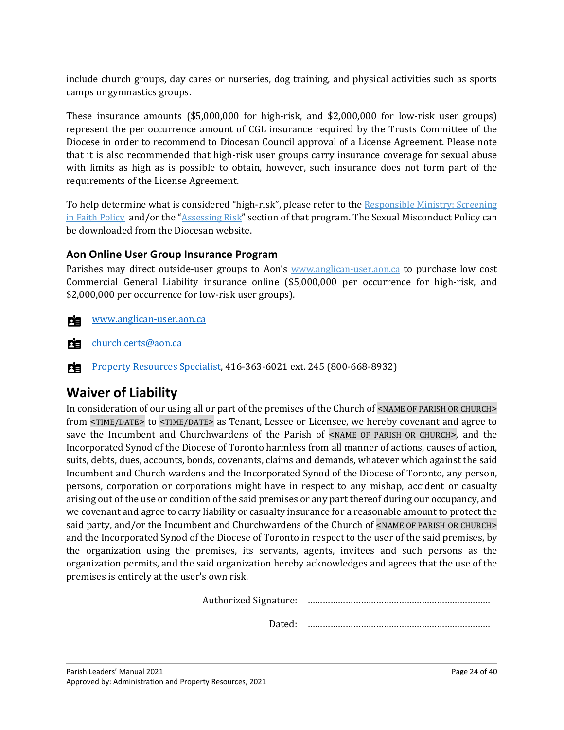include church groups, day cares or nurseries, dog training, and physical activities such as sports camps or gymnastics groups.

These insurance amounts (\$5,000,000 for high-risk, and \$2,000,000 for low-risk user groups) represent the per occurrence amount of CGL insurance required by the Trusts Committee of the Diocese in order to recommend to Diocesan Council approval of a License Agreement. Please note that it is also recommended that high-risk user groups carry insurance coverage for sexual abuse with limits as high as is possible to obtain, however, such insurance does not form part of the requirements of the License Agreement.

To help determine what is considered "high-risk", please refer to the Responsible Ministry: Screening [in Faith Policy](https://www.toronto.anglican.ca/parish-administration/screening/) and/or the ["Assessing Risk"](https://www.toronto.anglican.ca/parish-administration/screening/screening-process/assessing-risk/) section of that program. The Sexual Misconduct Policy can be downloaded from the Diocesan website.

#### <span id="page-23-0"></span>**Aon Online User Group Insurance Program**

Parishes may direct outside-user groups to Aon's [www.anglican-user.aon.ca](http://www.anglican-user.aon.ca/) to purchase low cost Commercial General Liability insurance online (\$5,000,000 per occurrence for high-risk, and \$2,000,000 per occurrence for low-risk user groups).

- [www.anglican-user.aon.ca](http://www.anglican-user.aon.ca/) P3.
- P3. [church.certs@aon.ca](mailto:church.certs@aon.ca)
- **[Property Resources Specialist,](mailto:wpearson@toronto.anglican.ca) 416-363-6021 ext. 245 (800-668-8932)**

#### <span id="page-23-1"></span>**Waiver of Liability**

In consideration of our using all or part of the premises of the Church of  $\leq N$ AME OF PARISH OR CHURCH> from <TIME/DATE> to <TIME/DATE> as Tenant, Lessee or Licensee, we hereby covenant and agree to save the Incumbent and Churchwardens of the Parish of  $\leq N$ AME OF PARISH OR CHURCH>, and the Incorporated Synod of the Diocese of Toronto harmless from all manner of actions, causes of action, suits, debts, dues, accounts, bonds, covenants, claims and demands, whatever which against the said Incumbent and Church wardens and the Incorporated Synod of the Diocese of Toronto, any person, persons, corporation or corporations might have in respect to any mishap, accident or casualty arising out of the use or condition of the said premises or any part thereof during our occupancy, and we covenant and agree to carry liability or casualty insurance for a reasonable amount to protect the said party, and/or the Incumbent and Churchwardens of the Church of <NAME OF PARISH OR CHURCH> and the Incorporated Synod of the Diocese of Toronto in respect to the user of the said premises, by the organization using the premises, its servants, agents, invitees and such persons as the organization permits, and the said organization hereby acknowledges and agrees that the use of the premises is entirely at the user's own risk.

| <b>Authorized Signature:</b> |  |
|------------------------------|--|
|------------------------------|--|

Dated: ………………………………………………………………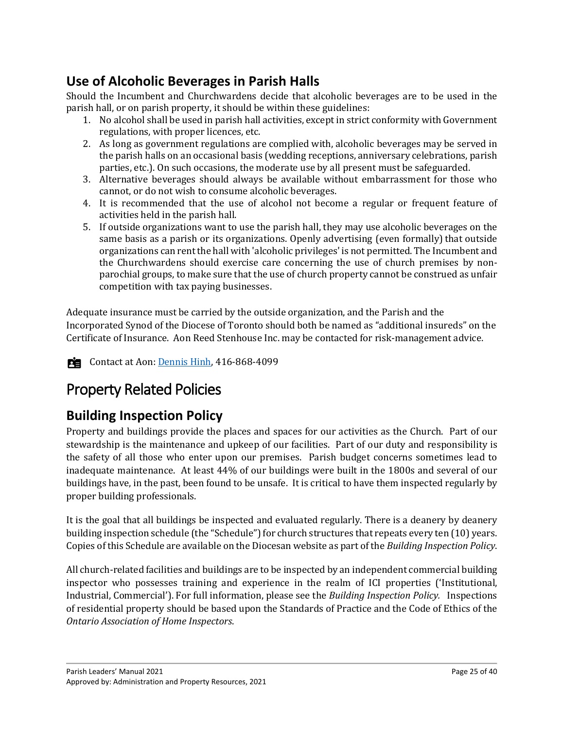### <span id="page-24-0"></span>**Use of Alcoholic Beverages in Parish Halls**

Should the Incumbent and Churchwardens decide that alcoholic beverages are to be used in the parish hall, or on parish property, it should be within these guidelines:

- 1. No alcohol shall be used in parish hall activities, except in strict conformity with Government regulations, with proper licences, etc.
- 2. As long as government regulations are complied with, alcoholic beverages may be served in the parish halls on an occasional basis (wedding receptions, anniversary celebrations, parish parties, etc.). On such occasions, the moderate use by all present must be safeguarded.
- 3. Alternative beverages should always be available without embarrassment for those who cannot, or do not wish to consume alcoholic beverages.
- 4. It is recommended that the use of alcohol not become a regular or frequent feature of activities held in the parish hall.
- 5. If outside organizations want to use the parish hall, they may use alcoholic beverages on the same basis as a parish or its organizations. Openly advertising (even formally) that outside organizations can rent the hall with 'alcoholic privileges' is not permitted. The Incumbent and the Churchwardens should exercise care concerning the use of church premises by nonparochial groups, to make sure that the use of church property cannot be construed as unfair competition with tax paying businesses.

Adequate insurance must be carried by the outside organization, and the Parish and the Incorporated Synod of the Diocese of Toronto should both be named as "additional insureds" on the Certificate of Insurance. Aon Reed Stenhouse Inc. may be contacted for risk-management advice.

Contact at Aon: [Dennis Hinh,](mailto:dennis.hinh@aon.ca) 416-868-4099

### <span id="page-24-1"></span>Property Related Policies

### <span id="page-24-2"></span>**Building Inspection Policy**

Property and buildings provide the places and spaces for our activities as the Church. Part of our stewardship is the maintenance and upkeep of our facilities. Part of our duty and responsibility is the safety of all those who enter upon our premises. Parish budget concerns sometimes lead to inadequate maintenance. At least 44% of our buildings were built in the 1800s and several of our buildings have, in the past, been found to be unsafe. It is critical to have them inspected regularly by proper building professionals.

It is the goal that all buildings be inspected and evaluated regularly. There is a deanery by deanery building inspection schedule (the "Schedule") for church structures that repeats every ten (10) years. Copies of this Schedule are available on the Diocesan website as part of the *Building Inspection Policy*.

All church-related facilities and buildings are to be inspected by an independent commercial building inspector who possesses training and experience in the realm of ICI properties ('Institutional, Industrial, Commercial'). For full information, please see the *Building Inspection Policy.* Inspections of residential property should be based upon the Standards of Practice and the Code of Ethics of the *Ontario Association of Home Inspectors*.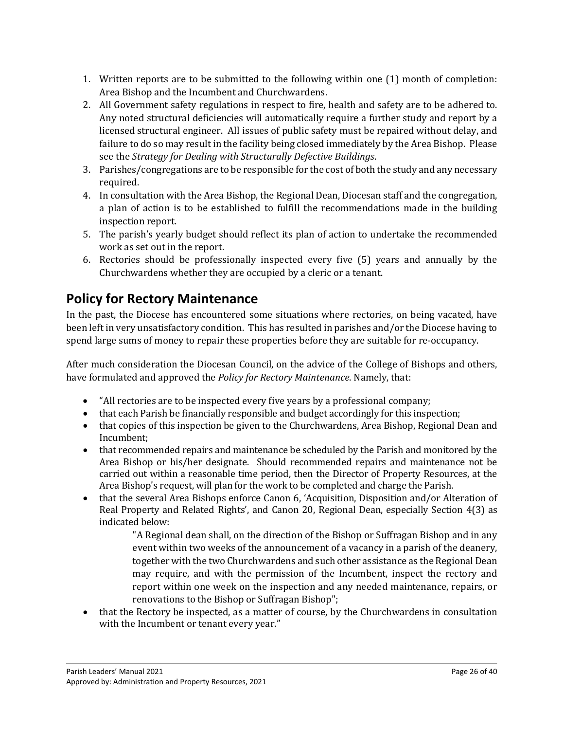- 1. Written reports are to be submitted to the following within one (1) month of completion: Area Bishop and the Incumbent and Churchwardens.
- 2. All Government safety regulations in respect to fire, health and safety are to be adhered to. Any noted structural deficiencies will automatically require a further study and report by a licensed structural engineer. All issues of public safety must be repaired without delay, and failure to do so may result in the facility being closed immediately by the Area Bishop. Please see the *Strategy for Dealing with Structurally Defective Buildings*.
- 3. Parishes/congregations are to be responsible for the cost of both the study and any necessary required.
- 4. In consultation with the Area Bishop, the Regional Dean, Diocesan staff and the congregation, a plan of action is to be established to fulfill the recommendations made in the building inspection report.
- 5. The parish's yearly budget should reflect its plan of action to undertake the recommended work as set out in the report.
- 6. Rectories should be professionally inspected every five (5) years and annually by the Churchwardens whether they are occupied by a cleric or a tenant.

### <span id="page-25-0"></span>**Policy for Rectory Maintenance**

In the past, the Diocese has encountered some situations where rectories, on being vacated, have been left in very unsatisfactory condition. This has resulted in parishes and/or the Diocese having to spend large sums of money to repair these properties before they are suitable for re-occupancy.

After much consideration the Diocesan Council, on the advice of the College of Bishops and others, have formulated and approved the *Policy for Rectory Maintenance*. Namely, that:

- "All rectories are to be inspected every five years by a professional company;
- that each Parish be financially responsible and budget accordingly for this inspection;
- that copies of this inspection be given to the Churchwardens, Area Bishop, Regional Dean and Incumbent;
- that recommended repairs and maintenance be scheduled by the Parish and monitored by the Area Bishop or his/her designate. Should recommended repairs and maintenance not be carried out within a reasonable time period, then the Director of Property Resources, at the Area Bishop's request, will plan for the work to be completed and charge the Parish.
- that the several Area Bishops enforce Canon 6, 'Acquisition, Disposition and/or Alteration of Real Property and Related Rights', and Canon 20, Regional Dean, especially Section 4(3) as indicated below:

"A Regional dean shall, on the direction of the Bishop or Suffragan Bishop and in any event within two weeks of the announcement of a vacancy in a parish of the deanery, together with the two Churchwardens and such other assistance as the Regional Dean may require, and with the permission of the Incumbent, inspect the rectory and report within one week on the inspection and any needed maintenance, repairs, or renovations to the Bishop or Suffragan Bishop";

• that the Rectory be inspected, as a matter of course, by the Churchwardens in consultation with the Incumbent or tenant every year."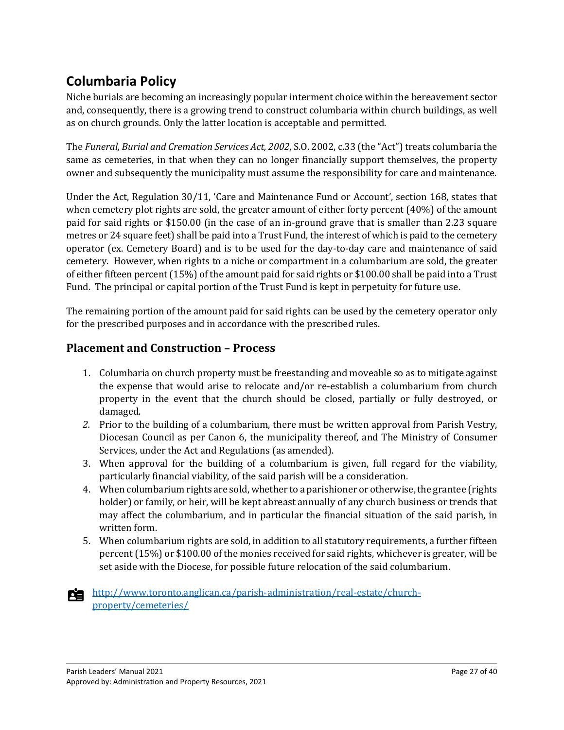### <span id="page-26-0"></span>**Columbaria Policy**

Niche burials are becoming an increasingly popular interment choice within the bereavement sector and, consequently, there is a growing trend to construct columbaria within church buildings, as well as on church grounds. Only the latter location is acceptable and permitted.

The *Funeral, Burial and Cremation Services Act, 2002*, S.O. 2002, c.33 (the "Act") treats columbaria the same as cemeteries, in that when they can no longer financially support themselves, the property owner and subsequently the municipality must assume the responsibility for care and maintenance.

Under the Act, Regulation 30/11, 'Care and Maintenance Fund or Account', section 168, states that when cemetery plot rights are sold, the greater amount of either forty percent (40%) of the amount paid for said rights or \$150.00 (in the case of an in-ground grave that is smaller than 2.23 square metres or 24 square feet) shall be paid into a Trust Fund, the interest of which is paid to the cemetery operator (ex. Cemetery Board) and is to be used for the day-to-day care and maintenance of said cemetery. However, when rights to a niche or compartment in a columbarium are sold, the greater of either fifteen percent (15%) of the amount paid for said rights or \$100.00 shall be paid into a Trust Fund. The principal or capital portion of the Trust Fund is kept in perpetuity for future use.

The remaining portion of the amount paid for said rights can be used by the cemetery operator only for the prescribed purposes and in accordance with the prescribed rules.

#### **Placement and Construction – Process**

- 1. Columbaria on church property must be freestanding and moveable so as to mitigate against the expense that would arise to relocate and/or re-establish a columbarium from church property in the event that the church should be closed, partially or fully destroyed, or damaged.
- *2.* Prior to the building of a columbarium, there must be written approval from Parish Vestry, Diocesan Council as per Canon 6, the municipality thereof, and The Ministry of Consumer Services, under the Act and Regulations (as amended).
- 3. When approval for the building of a columbarium is given, full regard for the viability, particularly financial viability, of the said parish will be a consideration.
- 4. When columbarium rights are sold, whether to a parishioner or otherwise, the grantee (rights holder) or family, or heir, will be kept abreast annually of any church business or trends that may affect the columbarium, and in particular the financial situation of the said parish, in written form.
- 5. When columbarium rights are sold, in addition to all statutory requirements, a further fifteen percent (15%) or \$100.00 of the monies received for said rights, whichever is greater, will be set aside with the Diocese, for possible future relocation of the said columbarium.

[http://www.toronto.anglican.ca/parish-administration/real-estate/church](http://www.toronto.anglican.ca/parish-administration/real-estate/church-property/cemeteries/)[property/cemeteries/](http://www.toronto.anglican.ca/parish-administration/real-estate/church-property/cemeteries/)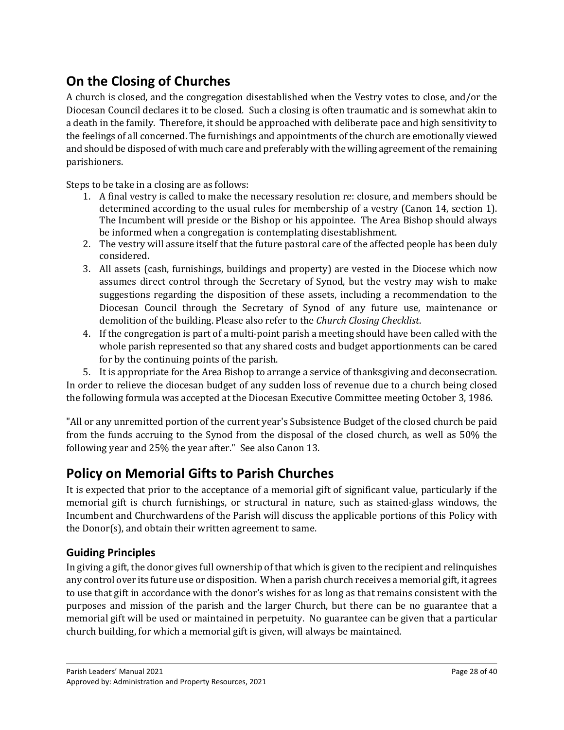### <span id="page-27-0"></span>**On the Closing of Churches**

A church is closed, and the congregation disestablished when the Vestry votes to close, and/or the Diocesan Council declares it to be closed. Such a closing is often traumatic and is somewhat akin to a death in the family. Therefore, it should be approached with deliberate pace and high sensitivity to the feelings of all concerned. The furnishings and appointments of the church are emotionally viewed and should be disposed of with much care and preferably with the willing agreement of the remaining parishioners.

Steps to be take in a closing are as follows:

- 1. A final vestry is called to make the necessary resolution re: closure, and members should be determined according to the usual rules for membership of a vestry (Canon 14, section 1). The Incumbent will preside or the Bishop or his appointee. The Area Bishop should always be informed when a congregation is contemplating disestablishment.
- 2. The vestry will assure itself that the future pastoral care of the affected people has been duly considered.
- 3. All assets (cash, furnishings, buildings and property) are vested in the Diocese which now assumes direct control through the Secretary of Synod, but the vestry may wish to make suggestions regarding the disposition of these assets, including a recommendation to the Diocesan Council through the Secretary of Synod of any future use, maintenance or demolition of the building. Please also refer to the *Church Closing Checklist*.
- 4. If the congregation is part of a multi-point parish a meeting should have been called with the whole parish represented so that any shared costs and budget apportionments can be cared for by the continuing points of the parish.

5. It is appropriate for the Area Bishop to arrange a service of thanksgiving and deconsecration. In order to relieve the diocesan budget of any sudden loss of revenue due to a church being closed the following formula was accepted at the Diocesan Executive Committee meeting October 3, 1986.

"All or any unremitted portion of the current year's Subsistence Budget of the closed church be paid from the funds accruing to the Synod from the disposal of the closed church, as well as 50% the following year and 25% the year after." See also Canon 13.

### <span id="page-27-1"></span>**Policy on Memorial Gifts to Parish Churches**

It is expected that prior to the acceptance of a memorial gift of significant value, particularly if the memorial gift is church furnishings, or structural in nature, such as stained-glass windows, the Incumbent and Churchwardens of the Parish will discuss the applicable portions of this Policy with the Donor(s), and obtain their written agreement to same.

#### <span id="page-27-2"></span>**Guiding Principles**

In giving a gift, the donor gives full ownership of that which is given to the recipient and relinquishes any control over its future use or disposition. When a parish church receives a memorial gift, it agrees to use that gift in accordance with the donor's wishes for as long as that remains consistent with the purposes and mission of the parish and the larger Church, but there can be no guarantee that a memorial gift will be used or maintained in perpetuity. No guarantee can be given that a particular church building, for which a memorial gift is given, will always be maintained.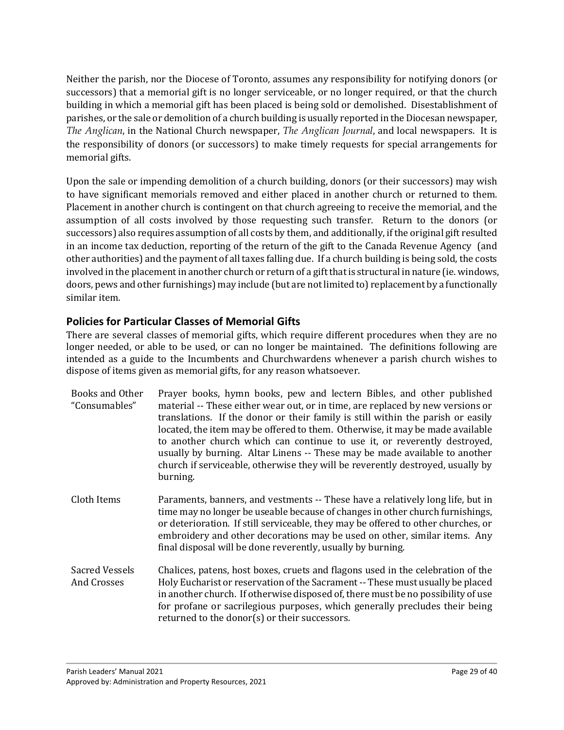Neither the parish, nor the Diocese of Toronto, assumes any responsibility for notifying donors (or successors) that a memorial gift is no longer serviceable, or no longer required, or that the church building in which a memorial gift has been placed is being sold or demolished. Disestablishment of parishes, or the sale or demolition of a church building is usually reported in the Diocesan newspaper, *The Anglican*, in the National Church newspaper, *The Anglican Journal*, and local newspapers. It is the responsibility of donors (or successors) to make timely requests for special arrangements for memorial gifts.

Upon the sale or impending demolition of a church building, donors (or their successors) may wish to have significant memorials removed and either placed in another church or returned to them. Placement in another church is contingent on that church agreeing to receive the memorial, and the assumption of all costs involved by those requesting such transfer. Return to the donors (or successors) also requires assumption of all costs by them, and additionally, if the original gift resulted in an income tax deduction, reporting of the return of the gift to the Canada Revenue Agency (and other authorities) and the payment of all taxes falling due. If a church building is being sold, the costs involved in the placement in another church or return of a gift that is structural in nature (ie. windows, doors, pews and other furnishings) may include (but are not limited to) replacement by a functionally similar item.

#### <span id="page-28-0"></span>**Policies for Particular Classes of Memorial Gifts**

There are several classes of memorial gifts, which require different procedures when they are no longer needed, or able to be used, or can no longer be maintained. The definitions following are intended as a guide to the Incumbents and Churchwardens whenever a parish church wishes to dispose of items given as memorial gifts, for any reason whatsoever.

| <b>Books and Other</b><br>"Consumables" | Prayer books, hymn books, pew and lectern Bibles, and other published<br>material -- These either wear out, or in time, are replaced by new versions or<br>translations. If the donor or their family is still within the parish or easily<br>located, the item may be offered to them. Otherwise, it may be made available<br>to another church which can continue to use it, or reverently destroyed,<br>usually by burning. Altar Linens -- These may be made available to another<br>church if serviceable, otherwise they will be reverently destroyed, usually by<br>burning. |
|-----------------------------------------|-------------------------------------------------------------------------------------------------------------------------------------------------------------------------------------------------------------------------------------------------------------------------------------------------------------------------------------------------------------------------------------------------------------------------------------------------------------------------------------------------------------------------------------------------------------------------------------|
| Cloth Items                             | Paraments, banners, and vestments -- These have a relatively long life, but in<br>time may no longer be useable because of changes in other church furnishings,<br>or deterioration. If still serviceable, they may be offered to other churches, or<br>embroidery and other decorations may be used on other, similar items. Any<br>final disposal will be done reverently, usually by burning.                                                                                                                                                                                    |
| <b>Sacred Vessels</b><br>And Crosses    | Chalices, patens, host boxes, cruets and flagons used in the celebration of the<br>Holy Eucharist or reservation of the Sacrament -- These must usually be placed<br>in another church. If otherwise disposed of, there must be no possibility of use<br>for profane or sacrilegious purposes, which generally precludes their being<br>returned to the donor(s) or their successors.                                                                                                                                                                                               |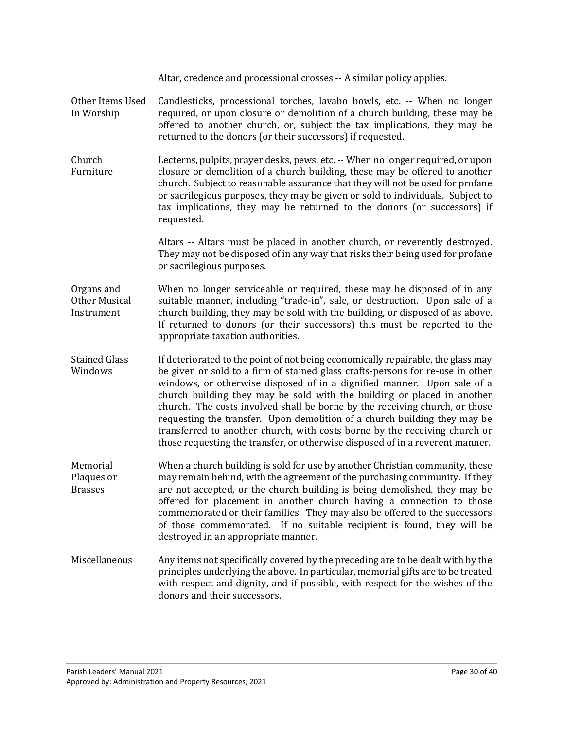Altar, credence and processional crosses -- A similar policy applies.

- Other Items Used In Worship Candlesticks, processional torches, lavabo bowls, etc. -- When no longer required, or upon closure or demolition of a church building, these may be offered to another church, or, subject the tax implications, they may be returned to the donors (or their successors) if requested.
- Church Furniture Lecterns, pulpits, prayer desks, pews, etc. -- When no longer required, or upon closure or demolition of a church building, these may be offered to another church. Subject to reasonable assurance that they will not be used for profane or sacrilegious purposes, they may be given or sold to individuals. Subject to tax implications, they may be returned to the donors (or successors) if requested.

Altars -- Altars must be placed in another church, or reverently destroyed. They may not be disposed of in any way that risks their being used for profane or sacrilegious purposes.

Organs and Other Musical Instrument When no longer serviceable or required, these may be disposed of in any suitable manner, including "trade-in", sale, or destruction. Upon sale of a church building, they may be sold with the building, or disposed of as above. If returned to donors (or their successors) this must be reported to the appropriate taxation authorities.

- Stained Glass Windows If deteriorated to the point of not being economically repairable, the glass may be given or sold to a firm of stained glass crafts-persons for re-use in other windows, or otherwise disposed of in a dignified manner. Upon sale of a church building they may be sold with the building or placed in another church. The costs involved shall be borne by the receiving church, or those requesting the transfer. Upon demolition of a church building they may be transferred to another church, with costs borne by the receiving church or those requesting the transfer, or otherwise disposed of in a reverent manner.
- Memorial Plaques or Brasses When a church building is sold for use by another Christian community, these may remain behind, with the agreement of the purchasing community. If they are not accepted, or the church building is being demolished, they may be offered for placement in another church having a connection to those commemorated or their families. They may also be offered to the successors of those commemorated. If no suitable recipient is found, they will be destroyed in an appropriate manner.
- Miscellaneous Any items not specifically covered by the preceding are to be dealt with by the principles underlying the above. In particular, memorial gifts are to be treated with respect and dignity, and if possible, with respect for the wishes of the donors and their successors.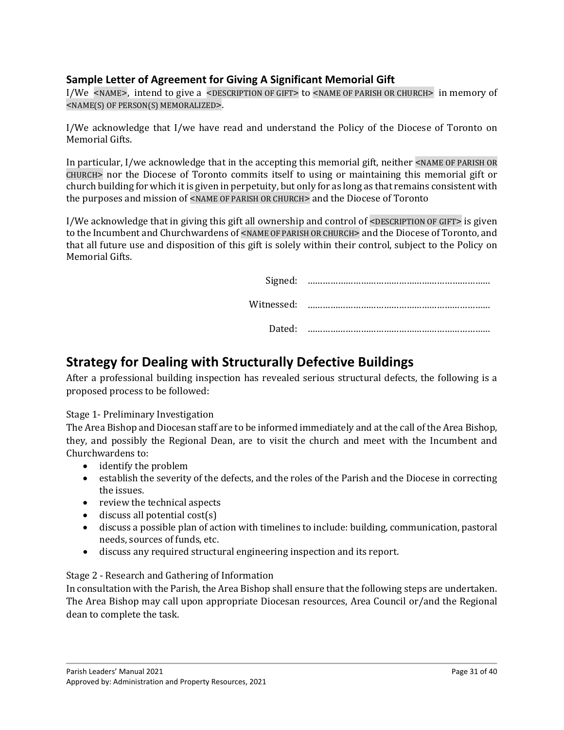#### <span id="page-30-0"></span>**Sample Letter of Agreement for Giving A Significant Memorial Gift**

I/We <NAME>, intend to give a <DESCRIPTION OF GIFT> to <NAME OF PARISH OR CHURCH> in memory of <NAME(S) OF PERSON(S) MEMORALIZED>.

I/We acknowledge that I/we have read and understand the Policy of the Diocese of Toronto on Memorial Gifts.

In particular, I/we acknowledge that in the accepting this memorial gift, neither <NAME OF PARISH OR CHURCH> nor the Diocese of Toronto commits itself to using or maintaining this memorial gift or church building for which it is given in perpetuity, but only for as long as that remains consistent with the purposes and mission of <NAME OF PARISH OR CHURCH> and the Diocese of Toronto

I/We acknowledge that in giving this gift all ownership and control of <DESCRIPTION OF GIFT> is given to the Incumbent and Churchwardens of <NAME OF PARISH OR CHURCH> and the Diocese of Toronto, and that all future use and disposition of this gift is solely within their control, subject to the Policy on Memorial Gifts.

| Witnessed: |  |
|------------|--|
| Dated:     |  |

### <span id="page-30-1"></span>**Strategy for Dealing with Structurally Defective Buildings**

After a professional building inspection has revealed serious structural defects, the following is a proposed process to be followed:

#### Stage 1- Preliminary Investigation

The Area Bishop and Diocesan staff are to be informed immediately and at the call of the Area Bishop, they, and possibly the Regional Dean, are to visit the church and meet with the Incumbent and Churchwardens to:

- identify the problem
- establish the severity of the defects, and the roles of the Parish and the Diocese in correcting the issues.
- review the technical aspects
- discuss all potential cost(s)
- discuss a possible plan of action with timelines to include: building, communication, pastoral needs, sources of funds, etc.
- discuss any required structural engineering inspection and its report.

#### Stage 2 - Research and Gathering of Information

In consultation with the Parish, the Area Bishop shall ensure that the following steps are undertaken. The Area Bishop may call upon appropriate Diocesan resources, Area Council or/and the Regional dean to complete the task.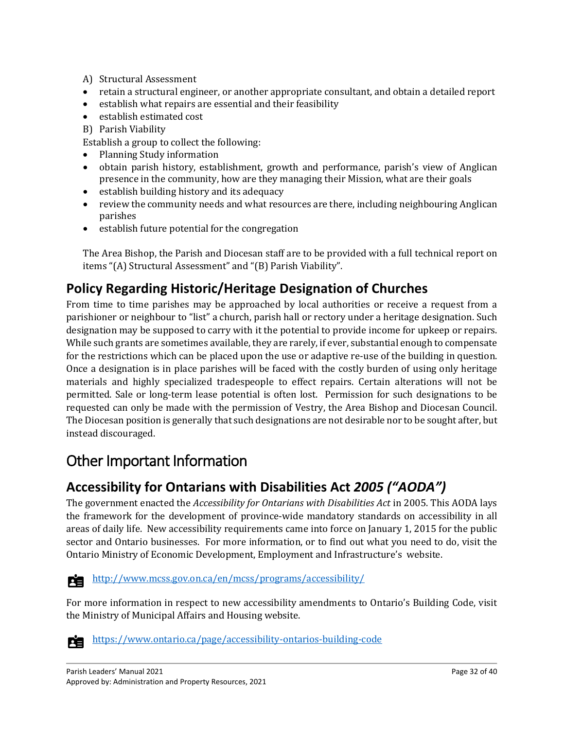- A) Structural Assessment
- retain a structural engineer, or another appropriate consultant, and obtain a detailed report
- establish what repairs are essential and their feasibility
- establish estimated cost
- B) Parish Viability

Establish a group to collect the following:

- Planning Study information
- obtain parish history, establishment, growth and performance, parish's view of Anglican presence in the community, how are they managing their Mission, what are their goals
- establish building history and its adequacy
- review the community needs and what resources are there, including neighbouring Anglican parishes
- establish future potential for the congregation

The Area Bishop, the Parish and Diocesan staff are to be provided with a full technical report on items "(A) Structural Assessment" and "(B) Parish Viability".

### <span id="page-31-0"></span>**Policy Regarding Historic/Heritage Designation of Churches**

From time to time parishes may be approached by local authorities or receive a request from a parishioner or neighbour to "list" a church, parish hall or rectory under a heritage designation. Such designation may be supposed to carry with it the potential to provide income for upkeep or repairs. While such grants are sometimes available, they are rarely, if ever, substantial enough to compensate for the restrictions which can be placed upon the use or adaptive re-use of the building in question. Once a designation is in place parishes will be faced with the costly burden of using only heritage materials and highly specialized tradespeople to effect repairs. Certain alterations will not be permitted. Sale or long-term lease potential is often lost. Permission for such designations to be requested can only be made with the permission of Vestry, the Area Bishop and Diocesan Council. The Diocesan position is generally that such designations are not desirable nor to be sought after, but instead discouraged.

### <span id="page-31-1"></span>Other Important Information

### <span id="page-31-2"></span>**Accessibility for Ontarians with Disabilities Act** *2005 ("AODA")*

The government enacted the *Accessibility for Ontarians with Disabilities Act* in 2005. This AODA lays the framework for the development of province-wide mandatory standards on accessibility in all areas of daily life. New accessibility requirements came into force on January 1, 2015 for the public sector and Ontario businesses. For more information, or to find out what you need to do, visit the Ontario Ministry of Economic Development, Employment and Infrastructure's website.

#### <http://www.mcss.gov.on.ca/en/mcss/programs/accessibility/>

For more information in respect to new accessibility amendments to Ontario's Building Code, visit the Ministry of Municipal Affairs and Housing website.



<https://www.ontario.ca/page/accessibility-ontarios-building-code>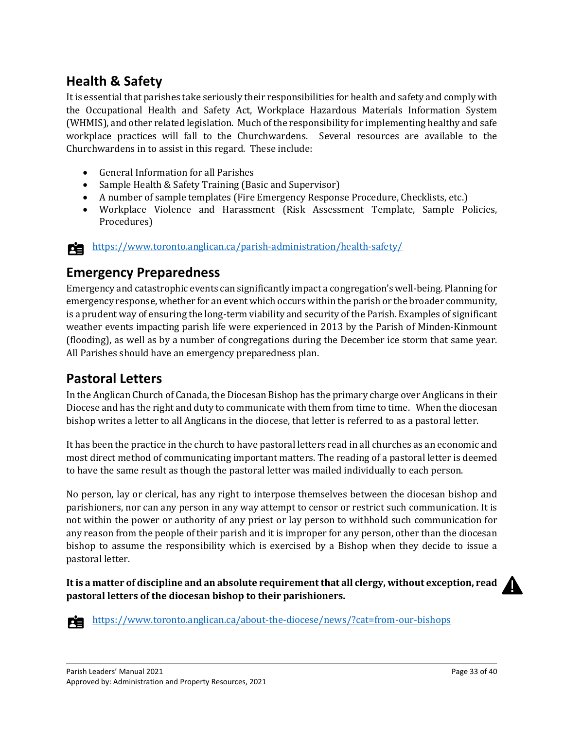### <span id="page-32-0"></span>**Health & Safety**

It is essential that parishes take seriously their responsibilities for health and safety and comply with the [Occupational Health and Safety Act,](http://www.e-laws.gov.on.ca/html/statutes/english/elaws_statutes_90o01_e.htm) Workplace Hazardous Materials Information System [\(WHMIS\)](http://www.hc-sc.gc.ca/ewh-semt/occup-travail/whmis-simdut/index-eng.php), and other related legislation. Much of the responsibility for implementing healthy and safe workplace practices will fall to the Churchwardens. Several resources are available to the Churchwardens in to assist in this regard. These include:

- General Information for all Parishes
- Sample Health & Safety Training (Basic and Supervisor)
- A number of sample templates (Fire Emergency Response Procedure, Checklists, etc.)
- Workplace Violence and Harassment (Risk Assessment Template, Sample Policies, Procedures)

<https://www.toronto.anglican.ca/parish-administration/health-safety/>

### <span id="page-32-1"></span>**Emergency Preparedness**

Emergency and catastrophic events can significantly impact a congregation's well-being. Planning for emergency response, whether for an event which occurs within the parish or the broader community, is a prudent way of ensuring the long-term viability and security of the Parish. Examples of significant weather events impacting parish life were experienced in 2013 by the Parish of Minden-Kinmount (flooding), as well as by a number of congregations during the December ice storm that same year. All Parishes should have an emergency preparedness plan.

### <span id="page-32-2"></span>**Pastoral Letters**

In the Anglican Church of Canada, the Diocesan Bishop has the primary charge over Anglicans in their Diocese and has the right and duty to communicate with them from time to time. When the diocesan bishop writes a letter to all Anglicans in the diocese, that letter is referred to as a pastoral letter.

It has been the practice in the church to have pastoral letters read in all churches as an economic and most direct method of communicating important matters. The reading of a pastoral letter is deemed to have the same result as though the pastoral letter was mailed individually to each person.

No person, lay or clerical, has any right to interpose themselves between the diocesan bishop and parishioners, nor can any person in any way attempt to censor or restrict such communication. It is not within the power or authority of any priest or lay person to withhold such communication for any reason from the people of their parish and it is improper for any person, other than the diocesan bishop to assume the responsibility which is exercised by a Bishop when they decide to issue a pastoral letter.

**It is a matter of discipline and an absolute requirement that all clergy, without exception, read pastoral letters of the diocesan bishop to their parishioners.**



<https://www.toronto.anglican.ca/about-the-diocese/news/?cat=from-our-bishops>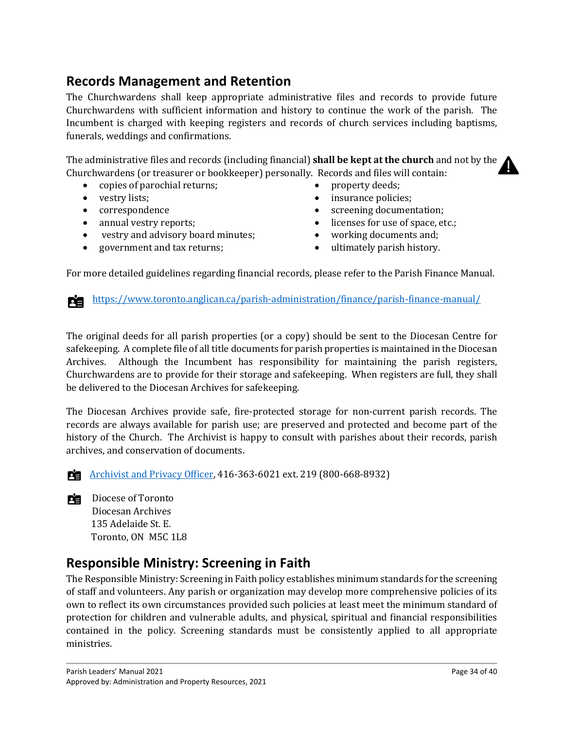### <span id="page-33-0"></span>**Records Management and Retention**

The Churchwardens shall keep appropriate administrative files and records to provide future Churchwardens with sufficient information and history to continue the work of the parish. The Incumbent is charged with keeping registers and records of church services including baptisms, funerals, weddings and confirmations.

The administrative files and records (including financial) **shall be kept at the church** and not by the Churchwardens (or treasurer or bookkeeper) personally. Records and files will contain:

- copies of parochial returns;
- vestry lists;
- correspondence
- annual vestry reports;
- vestry and advisory board minutes;
- government and tax returns;
- property deeds;
- insurance policies;
- screening documentation;
- licenses for use of space, etc.;
- working documents and;
- ultimately parish history.

For more detailed guidelines regarding financial records, please refer to the Parish Finance Manual.

<https://www.toronto.anglican.ca/parish-administration/finance/parish-finance-manual/>

The original deeds for all parish properties (or a copy) should be sent to the Diocesan Centre for safekeeping. A complete file of all title documents for parish properties is maintained in the Diocesan Archives. Although the Incumbent has responsibility for maintaining the parish registers, Churchwardens are to provide for their storage and safekeeping. When registers are full, they shall be delivered to the Diocesan Archives for safekeeping.

The Diocesan Archives provide safe, fire-protected storage for non-current parish records. The records are always available for parish use; are preserved and protected and become part of the history of the Church. The Archivist is happy to consult with parishes about their records, parish archives, and conservation of documents.



[Archivist and Privacy Officer,](mailto:cwilton@toronto.anglican.ca) 416-363-6021 ext. 219 (800-668-8932)

**Diocese of Toronto** Diocesan Archives 135 Adelaide St. E. Toronto, ON M5C 1L8

### <span id="page-33-1"></span>**Responsible Ministry: Screening in Faith**

The Responsible Ministry: Screening in Faith policy establishes minimum standards for the screening of staff and volunteers. Any parish or organization may develop more comprehensive policies of its own to reflect its own circumstances provided such policies at least meet the minimum standard of protection for children and vulnerable adults, and physical, spiritual and financial responsibilities contained in the policy. Screening standards must be consistently applied to all appropriate ministries.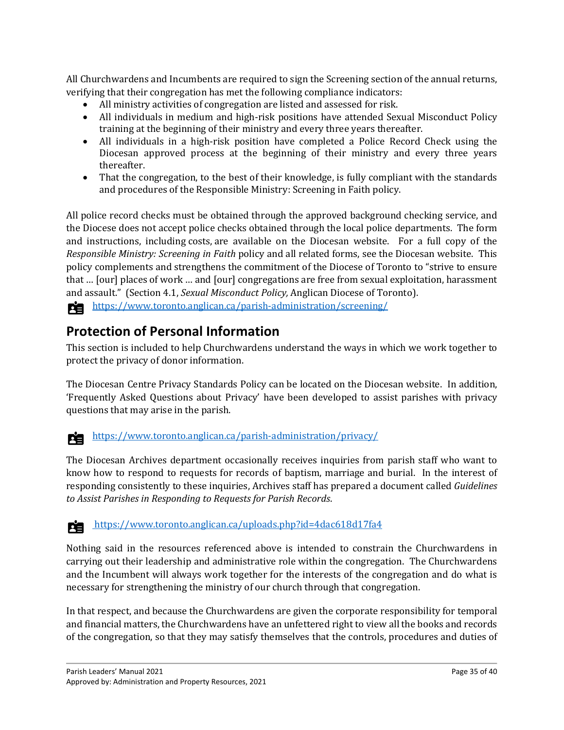All Churchwardens and Incumbents are required to sign the Screening section of the annual returns, verifying that their congregation has met the following compliance indicators:

- All ministry activities of congregation are listed and assessed for risk.
- All individuals in medium and high-risk positions have attended Sexual Misconduct Policy training at the beginning of their ministry and every three years thereafter.
- All individuals in a high-risk position have completed a Police Record Check using the Diocesan approved process at the beginning of their ministry and every three years thereafter.
- That the congregation, to the best of their knowledge, is fully compliant with the standards and procedures of the Responsible Ministry: Screening in Faith policy.

All police record checks must be obtained through the approved background checking service, and the Diocese does not accept police checks obtained through the local police departments. The form and instructions, including costs, are available on the Diocesan website. For a full copy of the *Responsible Ministry: Screening in Faith* policy and all related forms, see the Diocesan website. This policy complements and strengthens the commitment of the Diocese of Toronto to "strive to ensure that … [our] places of work … and [our] congregations are free from sexual exploitation, harassment and assault." (Section 4.1, *Sexual Misconduct Policy,* Anglican Diocese of Toronto).

<https://www.toronto.anglican.ca/parish-administration/screening/>

### <span id="page-34-0"></span>**Protection of Personal Information**

This section is included to help Churchwardens understand the ways in which we work together to protect the privacy of donor information.

The Diocesan Centre Privacy Standards Policy can be located on the Diocesan website. In addition, 'Frequently Asked Questions about Privacy' have been developed to assist parishes with privacy questions that may arise in the parish.

#### <https://www.toronto.anglican.ca/parish-administration/privacy/> **Pe**

The Diocesan Archives department occasionally receives inquiries from parish staff who want to know how to respond to requests for records of baptism, marriage and burial. In the interest of responding consistently to these inquiries, Archives staff has prepared a document called *Guidelines [to](https://www.toronto.anglican.ca/parish-administration/privacy/) Assist Parishes in Responding to Requests for Parish Records*.

#### <https://www.toronto.anglican.ca/uploads.php?id=4dac618d17fa4> **PE**

Nothing said in the resources referenced above is intended to constrain the Churchwardens in carrying out their leadership and administrative role within the congregation. The Churchwardens and the Incumbent will always work together for the interests of the congregation and do what is necessary for strengthening the ministry of our church through that congregation.

In that respect, and because the Churchwardens are given the corporate responsibility for temporal and financial matters, the Churchwardens have an unfettered right to view all the books and records of the congregation, so that they may satisfy themselves that the controls, procedures and duties of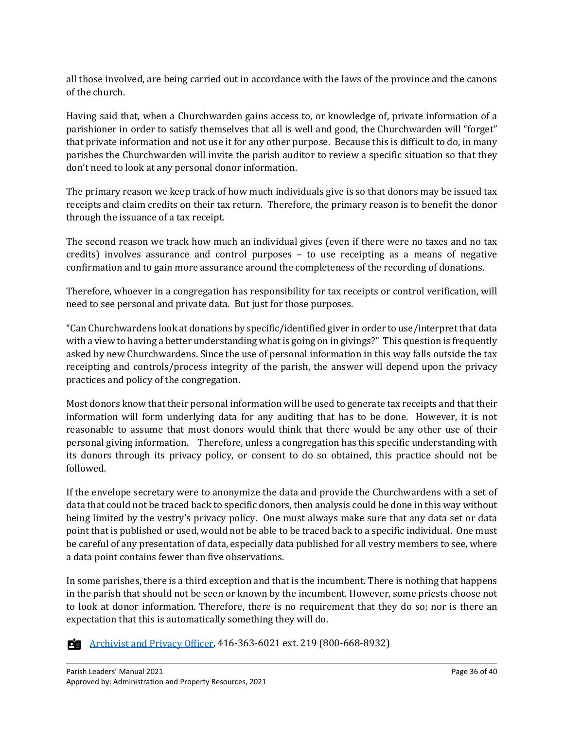all those involved, are being carried out in accordance with the laws of the province and the canons of the church.

Having said that, when a Churchwarden gains access to, or knowledge of, private information of a parishioner in order to satisfy themselves that all is well and good, the Churchwarden will "forget" that private information and not use it for any other purpose. Because this is difficult to do, in many parishes the Churchwarden will invite the parish auditor to review a specific situation so that they don't need to look at any personal donor information.

The primary reason we keep track of how much individuals give is so that donors may be issued tax receipts and claim credits on their tax return. Therefore, the primary reason is to benefit the donor through the issuance of a tax receipt.

The second reason we track how much an individual gives (even if there were no taxes and no tax credits) involves assurance and control purposes – to use receipting as a means of negative confirmation and to gain more assurance around the completeness of the recording of donations.

Therefore, whoever in a congregation has responsibility for tax receipts or control verification, will need to see personal and private data. But just for those purposes.

"Can Churchwardens look at donations by specific/identified giver in order to use/interpret that data with a view to having a better understanding what is going on in givings?" This question is frequently asked by new Churchwardens. Since the use of personal information in this way falls outside the tax receipting and controls/process integrity of the parish, the answer will depend upon the privacy practices and policy of the congregation.

Most donors know that their personal information will be used to generate tax receipts and that their information will form underlying data for any auditing that has to be done. However, it is not reasonable to assume that most donors would think that there would be any other use of their personal giving information. Therefore, unless a congregation has this specific understanding with its donors through its privacy policy, or consent to do so obtained, this practice should not be followed.

If the envelope secretary were to anonymize the data and provide the Churchwardens with a set of data that could not be traced back to specific donors, then analysis could be done in this way without being limited by the vestry's privacy policy. One must always make sure that any data set or data point that is published or used, would not be able to be traced back to a specific individual. One must be careful of any presentation of data, especially data published for all vestry members to see, where a data point contains fewer than five observations.

In some parishes, there is a third exception and that is the incumbent. There is nothing that happens in the parish that should not be seen or known by the incumbent. However, some priests choose not to look at donor information. Therefore, there is no requirement that they do so; nor is there an expectation that this is automatically something they will do.

[Archivist and Privacy Officer,](mailto:cwilton@toronto.anglican.ca) 416-363-6021 ext. 219 (800-668-8932)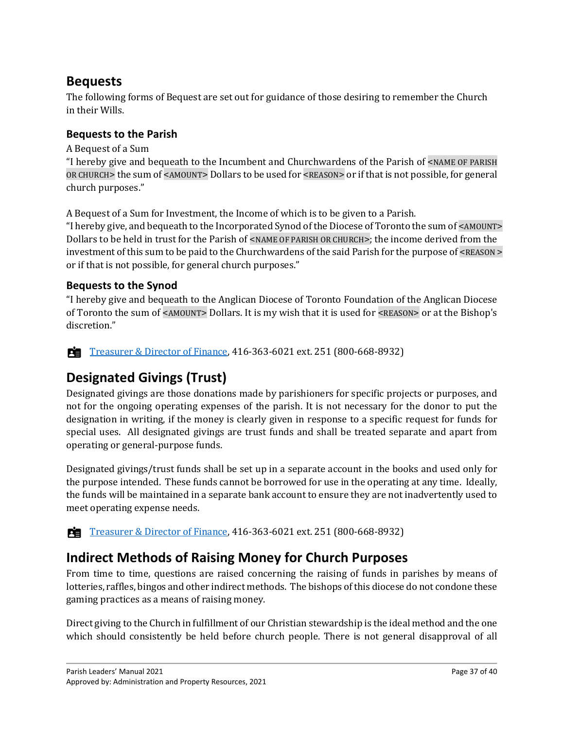### <span id="page-36-0"></span>**Bequests**

The following forms of Bequest are set out for guidance of those desiring to remember the Church in their Wills.

#### <span id="page-36-1"></span>**Bequests to the Parish**

A Bequest of a Sum

"I hereby give and bequeath to the Incumbent and Churchwardens of the Parish of <NAME OF PARISH OR CHURCH> the sum of <AMOUNT> Dollars to be used for <REASON> or if that is not possible, for general church purposes."

A Bequest of a Sum for Investment, the Income of which is to be given to a Parish.

"I hereby give, and bequeath to the Incorporated Synod of the Diocese of Toronto the sum of <AMOUNT> Dollars to be held in trust for the Parish of <NAME OF PARISH OR CHURCH>; the income derived from the investment of this sum to be paid to the Churchwardens of the said Parish for the purpose of <REASON > or if that is not possible, for general church purposes."

#### <span id="page-36-2"></span>**Bequests to the Synod**

"I hereby give and bequeath to the Anglican Diocese of Toronto Foundation of the Anglican Diocese of Toronto the sum of <AMOUNT> Dollars. It is my wish that it is used for <REASON> or at the Bishop's discretion."

**The Example 2** Treasurer & [Director of Finance,](mailto:rsaffrey@toronto.anglican.ca) 416-363-6021 ext. 251 (800-668-8932)

### <span id="page-36-3"></span>**Designated Givings (Trust)**

Designated givings are those donations made by parishioners for specific projects or purposes, and not for the ongoing operating expenses of the parish. It is not necessary for the donor to put the designation in writing, if the money is clearly given in response to a specific request for funds for special uses. All designated givings are trust funds and shall be treated separate and apart from operating or general-purpose funds.

Designated givings/trust funds shall be set up in a separate account in the books and used only for the purpose intended. These funds cannot be borrowed for use in the operating at any time. Ideally, the funds will be maintained in a separate bank account to ensure they are not inadvertently used to meet operating expense needs.

**PH** Treasurer & [Director of Finance,](mailto:rsaffrey@toronto.anglican.ca) 416-363-6021 ext. 251 (800-668-8932)

### <span id="page-36-4"></span>**Indirect Methods of Raising Money for Church Purposes**

From time to time, questions are raised concerning the raising of funds in parishes by means of lotteries, raffles, bingos and other indirect methods. The bishops of this diocese do not condone these gaming practices as a means of raising money.

Direct giving to the Church in fulfillment of our Christian stewardship is the ideal method and the one which should consistently be held before church people. There is not general disapproval of all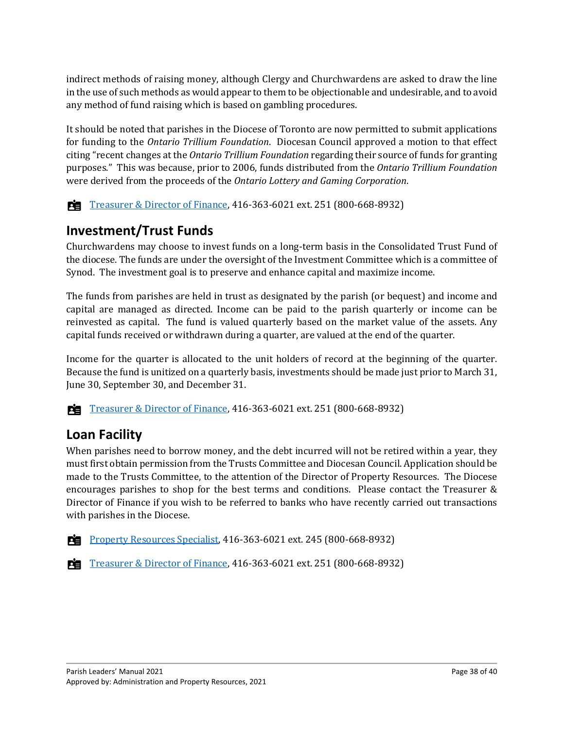indirect methods of raising money, although Clergy and Churchwardens are asked to draw the line in the use of such methods as would appear to them to be objectionable and undesirable, and to avoid any method of fund raising which is based on gambling procedures.

It should be noted that parishes in the Diocese of Toronto are now permitted to submit applications for funding to the *Ontario Trillium Foundation*. Diocesan Council approved a motion to that effect citing "recent changes at the *Ontario Trillium Foundation* regarding their source of funds for granting purposes." This was because, prior to 2006, funds distributed from the *Ontario Trillium Foundation* were derived from the proceeds of the *Ontario Lottery and Gaming Corporation*.

**Treasurer & [Director of Finance,](mailto:rsaffrey@toronto.anglican.ca) 416-363-6021 ext. 251 (800-668-8932)** 

### <span id="page-37-0"></span>**Investment/Trust Funds**

Churchwardens may choose to invest funds on a long-term basis in the Consolidated Trust Fund of the diocese. The funds are under the oversight of the Investment Committee which is a committee of Synod. The investment goal is to preserve and enhance capital and maximize income.

The funds from parishes are held in trust as designated by the parish (or bequest) and income and capital are managed as directed. Income can be paid to the parish quarterly or income can be reinvested as capital. The fund is valued quarterly based on the market value of the assets. Any capital funds received or withdrawn during a quarter, are valued at the end of the quarter.

Income for the quarter is allocated to the unit holders of record at the beginning of the quarter. Because the fund is unitized on a quarterly basis, investments should be made just prior to March 31, June 30, September 30, and December 31.

**The Example 2** Treasurer & [Director of Finance,](mailto:rsaffrey@toronto.anglican.ca) 416-363-6021 ext. 251 (800-668-8932)

### <span id="page-37-1"></span>**Loan Facility**

When parishes need to borrow money, and the debt incurred will not be retired within a year, they must first obtain permission from the Trusts Committee and Diocesan Council. Application should be made to the Trusts Committee, to the attention of the Director of Property Resources. The Diocese encourages parishes to shop for the best terms and conditions. Please contact the Treasurer & Director of Finance if you wish to be referred to banks who have recently carried out transactions with parishes in the Diocese.

**[Property Resources Specialist,](mailto:wpearson@toronto.anglican.ca) 416-363-6021 ext. 245 (800-668-8932)** 

**PH** Treasurer & [Director of Finance,](mailto:saffrey@toronto.anglican.ca) 416-363-6021 ext. 251 (800-668-8932)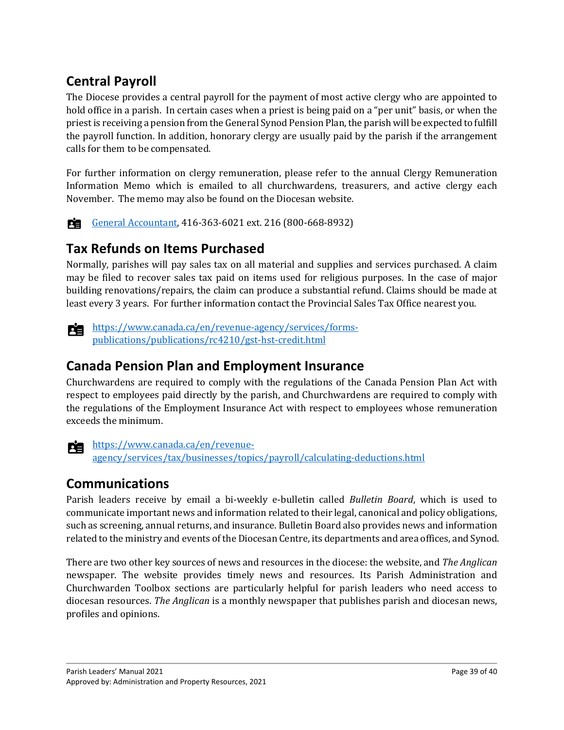### <span id="page-38-0"></span>**Central Payroll**

The Diocese provides a central payroll for the payment of most active clergy who are appointed to hold office in a parish. In certain cases when a priest is being paid on a "per unit" basis, or when the priest is receiving a pension from the General Synod Pension Plan, the parish will be expected to fulfill the payroll function. In addition, honorary clergy are usually paid by the parish if the arrangement calls for them to be compensated.

For further information on clergy remuneration, please refer to the annual Clergy Remuneration Information Memo which is emailed to all churchwardens, treasurers, and active clergy each November. The memo may also be found on the Diocesan website.

[General Accountant,](mailto:kstilling@toronto.anglican.ca) 416-363-6021 ext. 216 (800-668-8932)

### <span id="page-38-1"></span>**Tax Refunds on Items Purchased**

Normally, parishes will pay sales tax on all material and supplies and services purchased. A claim may be filed to recover sales tax paid on items used for religious purposes. In the case of major building renovations/repairs, the claim can produce a substantial refund. Claims should be made at least every 3 years. For further information contact the Provincial Sales Tax Office nearest you.



[https://www.canada.ca/en/revenue-agency/services/forms](https://www.canada.ca/en/revenue-agency/services/forms-publications/publications/rc4210/gst-hst-credit.html)[publications/publications/rc4210/gst-hst-credit.html](https://www.canada.ca/en/revenue-agency/services/forms-publications/publications/rc4210/gst-hst-credit.html)

### <span id="page-38-2"></span>**Canada Pension Plan and Employment Insurance**

Churchwardens are required to comply with the regulations of the Canada Pension Plan Act with respect to employees paid directly by the parish, and Churchwardens are required to comply with the regulations of the Employment Insurance Act with respect to employees whose remuneration exceeds the minimum.

[https://www.canada.ca/en/revenue](https://www.canada.ca/en/revenue-agency/services/tax/businesses/topics/payroll/calculating-deductions.html)[agency/services/tax/businesses/topics/payroll/calculating-deductions.html](https://www.canada.ca/en/revenue-agency/services/tax/businesses/topics/payroll/calculating-deductions.html)

### <span id="page-38-3"></span>**Communications**

Parish leaders receive by email a bi-weekly e-bulletin called *Bulletin Board*, which is used to communicate important news and information related to their legal, canonical and policy obligations, such as screening, annual returns, and insurance. Bulletin Board also provides news and information related to the ministry and events of the Diocesan Centre, its departments and area offices, and Synod.

There are two other key sources of news and resources in the diocese: the website, and *The Anglican* newspaper. The website provides timely news and resources. Its Parish Administration and Churchwarden Toolbox sections are particularly helpful for parish leaders who need access to diocesan resources. *The Anglican* is a monthly newspaper that publishes parish and diocesan news, profiles and opinions.